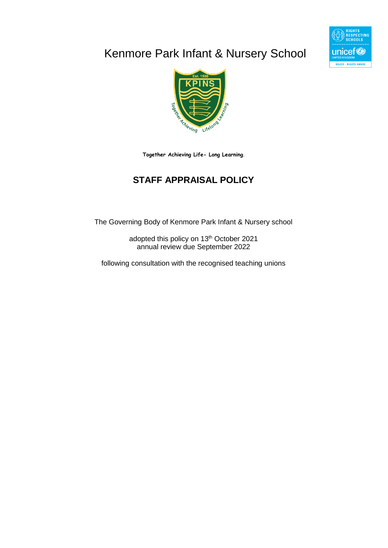# Kenmore Park Infant & Nursery School





**Together Achieving Life- Long Learning**.

# **STAFF APPRAISAL POLICY**

The Governing Body of Kenmore Park Infant & Nursery school

adopted this policy on 13<sup>th</sup> October 2021 annual review due September 2022

following consultation with the recognised teaching unions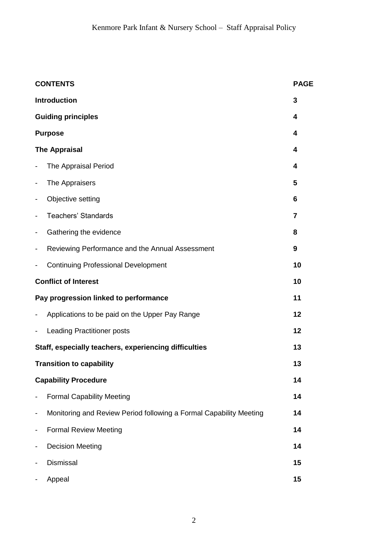| <b>CONTENTS</b><br><b>PAGE</b> |                                                                    |    |  |  |  |
|--------------------------------|--------------------------------------------------------------------|----|--|--|--|
|                                | <b>Introduction</b>                                                | 3  |  |  |  |
|                                | <b>Guiding principles</b>                                          | 4  |  |  |  |
|                                | <b>Purpose</b>                                                     | 4  |  |  |  |
|                                | <b>The Appraisal</b>                                               | 4  |  |  |  |
|                                | The Appraisal Period                                               | 4  |  |  |  |
|                                | The Appraisers                                                     | 5  |  |  |  |
|                                | Objective setting                                                  | 6  |  |  |  |
|                                | <b>Teachers' Standards</b>                                         | 7  |  |  |  |
|                                | Gathering the evidence                                             | 8  |  |  |  |
|                                | Reviewing Performance and the Annual Assessment                    | 9  |  |  |  |
|                                | <b>Continuing Professional Development</b>                         | 10 |  |  |  |
|                                | <b>Conflict of Interest</b>                                        | 10 |  |  |  |
|                                | Pay progression linked to performance                              | 11 |  |  |  |
|                                | Applications to be paid on the Upper Pay Range                     | 12 |  |  |  |
|                                | <b>Leading Practitioner posts</b>                                  | 12 |  |  |  |
|                                | Staff, especially teachers, experiencing difficulties              | 13 |  |  |  |
|                                | <b>Transition to capability</b>                                    | 13 |  |  |  |
|                                | <b>Capability Procedure</b>                                        | 14 |  |  |  |
|                                | <b>Formal Capability Meeting</b>                                   | 14 |  |  |  |
|                                | Monitoring and Review Period following a Formal Capability Meeting | 14 |  |  |  |
|                                | <b>Formal Review Meeting</b>                                       | 14 |  |  |  |
|                                | <b>Decision Meeting</b>                                            | 14 |  |  |  |
|                                | <b>Dismissal</b>                                                   | 15 |  |  |  |
|                                | Appeal                                                             | 15 |  |  |  |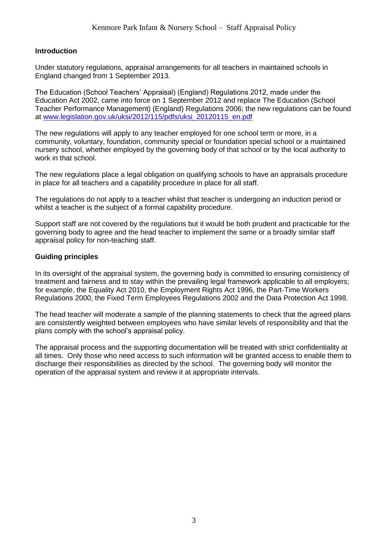# **Introduction**

Under statutory regulations, appraisal arrangements for all teachers in maintained schools in England changed from 1 September 2013.

The Education (School Teachers' Appraisal) (England) Regulations 2012, made under the Education Act 2002, came into force on 1 September 2012 and replace The Education (School Teacher Performance Management) (England) Regulations 2006; the new regulations can be found at [www.legislation.gov.uk/uksi/2012/115/pdfs/uksi\\_20120115\\_en.pdf](http://www.legislation.gov.uk/uksi/2012/115/pdfs/uksi_20120115_en.pdf) 

The new regulations will apply to any teacher employed for one school term or more, in a community, voluntary, foundation, community special or foundation special school or a maintained nursery school, whether employed by the governing body of that school or by the local authority to work in that school.

The new regulations place a legal obligation on qualifying schools to have an appraisals procedure in place for all teachers and a capability procedure in place for all staff.

The regulations do not apply to a teacher whilst that teacher is undergoing an induction period or whilst a teacher is the subject of a formal capability procedure.

Support staff are not covered by the regulations but it would be both prudent and practicable for the governing body to agree and the head teacher to implement the same or a broadly similar staff appraisal policy for non-teaching staff.

# **Guiding principles**

In its oversight of the appraisal system, the governing body is committed to ensuring consistency of treatment and fairness and to stay within the prevailing legal framework applicable to all employers; for example, the Equality Act 2010, the Employment Rights Act 1996, the Part-Time Workers Regulations 2000, the Fixed Term Employees Regulations 2002 and the Data Protection Act 1998.

The head teacher will moderate a sample of the planning statements to check that the agreed plans are consistently weighted between employees who have similar levels of responsibility and that the plans comply with the school's appraisal policy.

The appraisal process and the supporting documentation will be treated with strict confidentiality at all times. Only those who need access to such information will be granted access to enable them to discharge their responsibilities as directed by the school. The governing body will monitor the operation of the appraisal system and review it at appropriate intervals.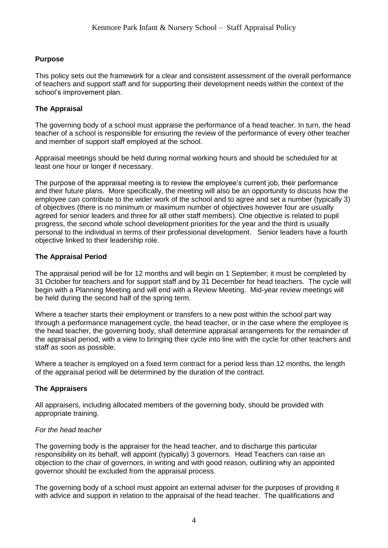# **Purpose**

This policy sets out the framework for a clear and consistent assessment of the overall performance of teachers and support staff and for supporting their development needs within the context of the school's improvement plan.

# **The Appraisal**

The governing body of a school must appraise the performance of a head teacher. In turn, the head teacher of a school is responsible for ensuring the review of the performance of every other teacher and member of support staff employed at the school.

Appraisal meetings should be held during normal working hours and should be scheduled for at least one hour or longer if necessary.

The purpose of the appraisal meeting is to review the employee's current job, their performance and their future plans. More specifically, the meeting will also be an opportunity to discuss how the employee can contribute to the wider work of the school and to agree and set a number (typically 3) of objectives (there is no minimum or maximum number of objectives however four are usually agreed for senior leaders and three for all other staff members). One objective is related to pupil progress, the second whole school development priorities for the year and the third is usually personal to the individual in terms of their professional development. Senior leaders have a fourth objective linked to their leadership role.

# **The Appraisal Period**

The appraisal period will be for 12 months and will begin on 1 September; it must be completed by 31 October for teachers and for support staff and by 31 December for head teachers. The cycle will begin with a Planning Meeting and will end with a Review Meeting. Mid-year review meetings will be held during the second half of the spring term.

Where a teacher starts their employment or transfers to a new post within the school part way through a performance management cycle, the head teacher, or in the case where the employee is the head teacher, the governing body, shall determine appraisal arrangements for the remainder of the appraisal period, with a view to bringing their cycle into line with the cycle for other teachers and staff as soon as possible.

Where a teacher is employed on a fixed term contract for a period less than 12 months, the length of the appraisal period will be determined by the duration of the contract.

# **The Appraisers**

All appraisers, including allocated members of the governing body, should be provided with appropriate training.

# *For the head teacher*

The governing body is the appraiser for the head teacher, and to discharge this particular responsibility on its behalf, will appoint (typically) 3 governors. Head Teachers can raise an objection to the chair of governors, in writing and with good reason, outlining why an appointed governor should be excluded from the appraisal process.

The governing body of a school must appoint an external adviser for the purposes of providing it with advice and support in relation to the appraisal of the head teacher. The qualifications and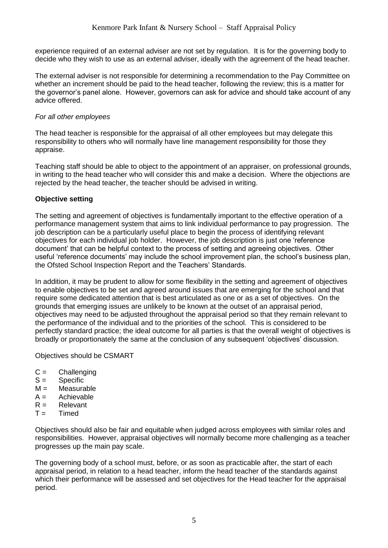experience required of an external adviser are not set by regulation. It is for the governing body to decide who they wish to use as an external adviser, ideally with the agreement of the head teacher.

The external adviser is not responsible for determining a recommendation to the Pay Committee on whether an increment should be paid to the head teacher, following the review; this is a matter for the governor's panel alone. However, governors can ask for advice and should take account of any advice offered.

# *For all other employees*

The head teacher is responsible for the appraisal of all other employees but may delegate this responsibility to others who will normally have line management responsibility for those they appraise.

Teaching staff should be able to object to the appointment of an appraiser, on professional grounds, in writing to the head teacher who will consider this and make a decision. Where the objections are rejected by the head teacher, the teacher should be advised in writing.

# **Objective setting**

The setting and agreement of objectives is fundamentally important to the effective operation of a performance management system that aims to link individual performance to pay progression. The job description can be a particularly useful place to begin the process of identifying relevant objectives for each individual job holder. However, the job description is just one 'reference document' that can be helpful context to the process of setting and agreeing objectives. Other useful 'reference documents' may include the school improvement plan, the school's business plan, the Ofsted School Inspection Report and the Teachers' Standards.

In addition, it may be prudent to allow for some flexibility in the setting and agreement of objectives to enable objectives to be set and agreed around issues that are emerging for the school and that require some dedicated attention that is best articulated as one or as a set of objectives. On the grounds that emerging issues are unlikely to be known at the outset of an appraisal period, objectives may need to be adjusted throughout the appraisal period so that they remain relevant to the performance of the individual and to the priorities of the school. This is considered to be perfectly standard practice; the ideal outcome for all parties is that the overall weight of objectives is broadly or proportionately the same at the conclusion of any subsequent 'objectives' discussion.

Objectives should be CSMART

- $C =$  Challenging
- $S =$  Specific
- $M =$ Measurable
- $A =$  Achievable
- $R =$ Relevant
- $T =$ Timed

Objectives should also be fair and equitable when judged across employees with similar roles and responsibilities. However, appraisal objectives will normally become more challenging as a teacher progresses up the main pay scale.

The governing body of a school must, before, or as soon as practicable after, the start of each appraisal period, in relation to a head teacher, inform the head teacher of the standards against which their performance will be assessed and set objectives for the Head teacher for the appraisal period.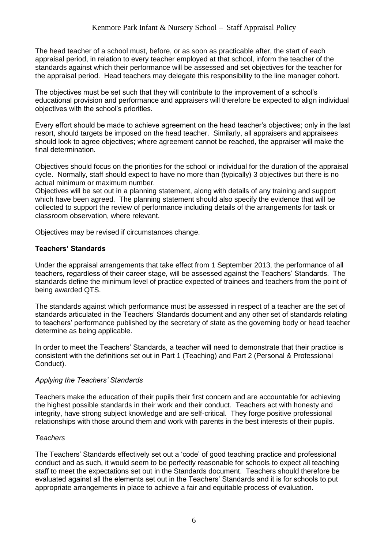The head teacher of a school must, before, or as soon as practicable after, the start of each appraisal period, in relation to every teacher employed at that school, inform the teacher of the standards against which their performance will be assessed and set objectives for the teacher for the appraisal period. Head teachers may delegate this responsibility to the line manager cohort.

The objectives must be set such that they will contribute to the improvement of a school's educational provision and performance and appraisers will therefore be expected to align individual objectives with the school's priorities.

Every effort should be made to achieve agreement on the head teacher's objectives; only in the last resort, should targets be imposed on the head teacher. Similarly, all appraisers and appraisees should look to agree objectives; where agreement cannot be reached, the appraiser will make the final determination.

Objectives should focus on the priorities for the school or individual for the duration of the appraisal cycle. Normally, staff should expect to have no more than (typically) 3 objectives but there is no actual minimum or maximum number.

Objectives will be set out in a planning statement, along with details of any training and support which have been agreed. The planning statement should also specify the evidence that will be collected to support the review of performance including details of the arrangements for task or classroom observation, where relevant.

Objectives may be revised if circumstances change.

# **Teachers' Standards**

Under the appraisal arrangements that take effect from 1 September 2013, the performance of all teachers, regardless of their career stage, will be assessed against the Teachers' Standards. The standards define the minimum level of practice expected of trainees and teachers from the point of being awarded QTS.

The standards against which performance must be assessed in respect of a teacher are the set of standards articulated in the Teachers' Standards document and any other set of standards relating to teachers' performance published by the secretary of state as the governing body or head teacher determine as being applicable.

In order to meet the Teachers' Standards, a teacher will need to demonstrate that their practice is consistent with the definitions set out in Part 1 (Teaching) and Part 2 (Personal & Professional Conduct).

# *Applying the Teachers' Standards*

Teachers make the education of their pupils their first concern and are accountable for achieving the highest possible standards in their work and their conduct. Teachers act with honesty and integrity, have strong subject knowledge and are self-critical. They forge positive professional relationships with those around them and work with parents in the best interests of their pupils.

# *Teachers*

The Teachers' Standards effectively set out a 'code' of good teaching practice and professional conduct and as such, it would seem to be perfectly reasonable for schools to expect all teaching staff to meet the expectations set out in the Standards document. Teachers should therefore be evaluated against all the elements set out in the Teachers' Standards and it is for schools to put appropriate arrangements in place to achieve a fair and equitable process of evaluation.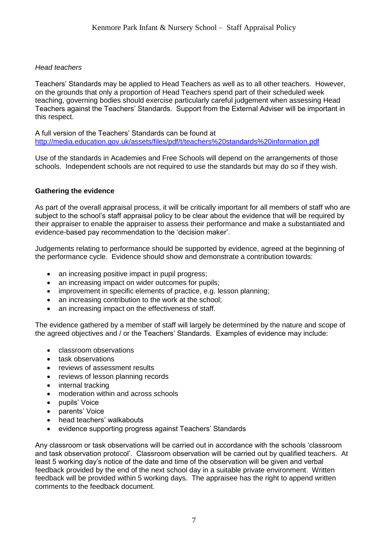# *Head teachers*

Teachers' Standards may be applied to Head Teachers as well as to all other teachers. However, on the grounds that only a proportion of Head Teachers spend part of their scheduled week teaching, governing bodies should exercise particularly careful judgement when assessing Head Teachers against the Teachers' Standards. Support from the External Adviser will be important in this respect.

A full version of the Teachers' Standards can be found at <http://media.education.gov.uk/assets/files/pdf/t/teachers%20standards%20information.pdf>

Use of the standards in Academies and Free Schools will depend on the arrangements of those schools. Independent schools are not required to use the standards but may do so if they wish.

# **Gathering the evidence**

As part of the overall appraisal process, it will be critically important for all members of staff who are subject to the school's staff appraisal policy to be clear about the evidence that will be required by their appraiser to enable the appraiser to assess their performance and make a substantiated and evidence-based pay recommendation to the 'decision maker'.

Judgements relating to performance should be supported by evidence, agreed at the beginning of the performance cycle. Evidence should show and demonstrate a contribution towards:

- an increasing positive impact in pupil progress;
- an increasing impact on wider outcomes for pupils;
- improvement in specific elements of practice, e.g. lesson planning;
- an increasing contribution to the work at the school;
- an increasing impact on the effectiveness of staff.

The evidence gathered by a member of staff will largely be determined by the nature and scope of the agreed objectives and / or the Teachers' Standards. Examples of evidence may include:

- classroom observations
- task observations
- reviews of assessment results
- reviews of lesson planning records
- internal tracking
- moderation within and across schools
- pupils' Voice
- parents' Voice
- head teachers' walkabouts
- evidence supporting progress against Teachers' Standards

Any classroom or task observations will be carried out in accordance with the schools 'classroom and task observation protocol'. Classroom observation will be carried out by qualified teachers. At least 5 working day's notice of the date and time of the observation will be given and verbal feedback provided by the end of the next school day in a suitable private environment. Written feedback will be provided within 5 working days. The appraisee has the right to append written comments to the feedback document.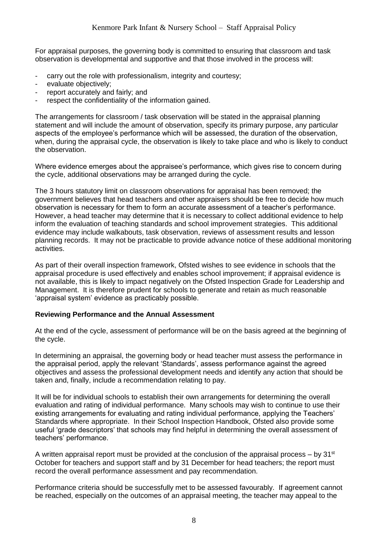For appraisal purposes, the governing body is committed to ensuring that classroom and task observation is developmental and supportive and that those involved in the process will:

- carry out the role with professionalism, integrity and courtesy;
- evaluate objectively:
- report accurately and fairly; and
- respect the confidentiality of the information gained.

The arrangements for classroom / task observation will be stated in the appraisal planning statement and will include the amount of observation, specify its primary purpose, any particular aspects of the employee's performance which will be assessed, the duration of the observation, when, during the appraisal cycle, the observation is likely to take place and who is likely to conduct the observation.

Where evidence emerges about the appraisee's performance, which gives rise to concern during the cycle, additional observations may be arranged during the cycle.

The 3 hours statutory limit on classroom observations for appraisal has been removed; the government believes that head teachers and other appraisers should be free to decide how much observation is necessary for them to form an accurate assessment of a teacher's performance. However, a head teacher may determine that it is necessary to collect additional evidence to help inform the evaluation of teaching standards and school improvement strategies. This additional evidence may include walkabouts, task observation, reviews of assessment results and lesson planning records. It may not be practicable to provide advance notice of these additional monitoring activities.

As part of their overall inspection framework, Ofsted wishes to see evidence in schools that the appraisal procedure is used effectively and enables school improvement; if appraisal evidence is not available, this is likely to impact negatively on the Ofsted Inspection Grade for Leadership and Management. It is therefore prudent for schools to generate and retain as much reasonable 'appraisal system' evidence as practicably possible.

#### **Reviewing Performance and the Annual Assessment**

At the end of the cycle, assessment of performance will be on the basis agreed at the beginning of the cycle.

In determining an appraisal, the governing body or head teacher must assess the performance in the appraisal period, apply the relevant 'Standards', assess performance against the agreed objectives and assess the professional development needs and identify any action that should be taken and, finally, include a recommendation relating to pay.

It will be for individual schools to establish their own arrangements for determining the overall evaluation and rating of individual performance. Many schools may wish to continue to use their existing arrangements for evaluating and rating individual performance, applying the Teachers' Standards where appropriate. In their School Inspection Handbook, Ofsted also provide some useful 'grade descriptors' that schools may find helpful in determining the overall assessment of teachers' performance.

A written appraisal report must be provided at the conclusion of the appraisal process – by 31<sup>st</sup> October for teachers and support staff and by 31 December for head teachers; the report must record the overall performance assessment and pay recommendation.

Performance criteria should be successfully met to be assessed favourably. If agreement cannot be reached, especially on the outcomes of an appraisal meeting, the teacher may appeal to the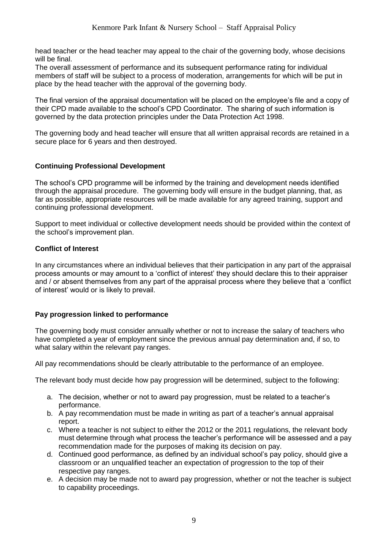head teacher or the head teacher may appeal to the chair of the governing body, whose decisions will be final.

The overall assessment of performance and its subsequent performance rating for individual members of staff will be subject to a process of moderation, arrangements for which will be put in place by the head teacher with the approval of the governing body.

The final version of the appraisal documentation will be placed on the employee's file and a copy of their CPD made available to the school's CPD Coordinator. The sharing of such information is governed by the data protection principles under the Data Protection Act 1998.

The governing body and head teacher will ensure that all written appraisal records are retained in a secure place for 6 years and then destroyed.

# **Continuing Professional Development**

The school's CPD programme will be informed by the training and development needs identified through the appraisal procedure. The governing body will ensure in the budget planning, that, as far as possible, appropriate resources will be made available for any agreed training, support and continuing professional development.

Support to meet individual or collective development needs should be provided within the context of the school's improvement plan.

# **Conflict of Interest**

In any circumstances where an individual believes that their participation in any part of the appraisal process amounts or may amount to a 'conflict of interest' they should declare this to their appraiser and / or absent themselves from any part of the appraisal process where they believe that a 'conflict of interest' would or is likely to prevail.

# **Pay progression linked to performance**

The governing body must consider annually whether or not to increase the salary of teachers who have completed a year of employment since the previous annual pay determination and, if so, to what salary within the relevant pay ranges.

All pay recommendations should be clearly attributable to the performance of an employee.

The relevant body must decide how pay progression will be determined, subject to the following:

- a. The decision, whether or not to award pay progression, must be related to a teacher's performance.
- b. A pay recommendation must be made in writing as part of a teacher's annual appraisal report.
- c. Where a teacher is not subject to either the 2012 or the 2011 regulations, the relevant body must determine through what process the teacher's performance will be assessed and a pay recommendation made for the purposes of making its decision on pay.
- d. Continued good performance, as defined by an individual school's pay policy, should give a classroom or an unqualified teacher an expectation of progression to the top of their respective pay ranges.
- e. A decision may be made not to award pay progression, whether or not the teacher is subject to capability proceedings.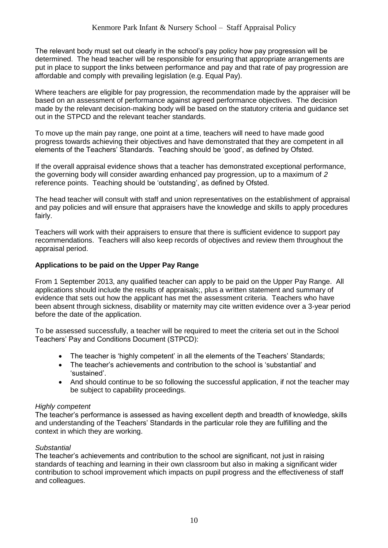The relevant body must set out clearly in the school's pay policy how pay progression will be determined. The head teacher will be responsible for ensuring that appropriate arrangements are put in place to support the links between performance and pay and that rate of pay progression are affordable and comply with prevailing legislation (e.g. Equal Pay).

Where teachers are eligible for pay progression, the recommendation made by the appraiser will be based on an assessment of performance against agreed performance objectives. The decision made by the relevant decision-making body will be based on the statutory criteria and guidance set out in the STPCD and the relevant teacher standards.

To move up the main pay range, one point at a time, teachers will need to have made good progress towards achieving their objectives and have demonstrated that they are competent in all elements of the Teachers' Standards. Teaching should be 'good', as defined by Ofsted.

If the overall appraisal evidence shows that a teacher has demonstrated exceptional performance, the governing body will consider awarding enhanced pay progression, up to a maximum of *2* reference points. Teaching should be 'outstanding', as defined by Ofsted.

The head teacher will consult with staff and union representatives on the establishment of appraisal and pay policies and will ensure that appraisers have the knowledge and skills to apply procedures fairly.

Teachers will work with their appraisers to ensure that there is sufficient evidence to support pay recommendations. Teachers will also keep records of objectives and review them throughout the appraisal period.

# **Applications to be paid on the Upper Pay Range**

From 1 September 2013, any qualified teacher can apply to be paid on the Upper Pay Range. All applications should include the results of appraisals;, plus a written statement and summary of evidence that sets out how the applicant has met the assessment criteria. Teachers who have been absent through sickness, disability or maternity may cite written evidence over a 3-year period before the date of the application.

To be assessed successfully, a teacher will be required to meet the criteria set out in the School Teachers' Pay and Conditions Document (STPCD):

- The teacher is 'highly competent' in all the elements of the Teachers' Standards;
- The teacher's achievements and contribution to the school is 'substantial' and 'sustained'.
- And should continue to be so following the successful application, if not the teacher may be subject to capability proceedings.

# *Highly competent*

The teacher's performance is assessed as having excellent depth and breadth of knowledge, skills and understanding of the Teachers' Standards in the particular role they are fulfilling and the context in which they are working.

# *Substantial*

The teacher's achievements and contribution to the school are significant, not just in raising standards of teaching and learning in their own classroom but also in making a significant wider contribution to school improvement which impacts on pupil progress and the effectiveness of staff and colleagues.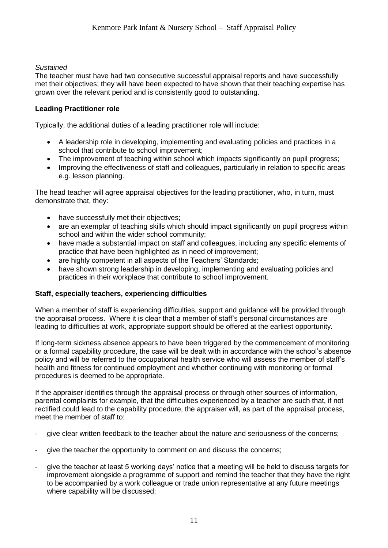# *Sustained*

The teacher must have had two consecutive successful appraisal reports and have successfully met their objectives; they will have been expected to have shown that their teaching expertise has grown over the relevant period and is consistently good to outstanding.

# **Leading Practitioner role**

Typically, the additional duties of a leading practitioner role will include:

- A leadership role in developing, implementing and evaluating policies and practices in a school that contribute to school improvement;
- The improvement of teaching within school which impacts significantly on pupil progress;
- Improving the effectiveness of staff and colleagues, particularly in relation to specific areas e.g. lesson planning.

The head teacher will agree appraisal objectives for the leading practitioner, who, in turn, must demonstrate that, they:

- have successfully met their objectives;
- are an exemplar of teaching skills which should impact significantly on pupil progress within school and within the wider school community;
- have made a substantial impact on staff and colleagues, including any specific elements of practice that have been highlighted as in need of improvement;
- are highly competent in all aspects of the Teachers' Standards:
- have shown strong leadership in developing, implementing and evaluating policies and practices in their workplace that contribute to school improvement.

# **Staff, especially teachers, experiencing difficulties**

When a member of staff is experiencing difficulties, support and guidance will be provided through the appraisal process. Where it is clear that a member of staff's personal circumstances are leading to difficulties at work, appropriate support should be offered at the earliest opportunity.

If long-term sickness absence appears to have been triggered by the commencement of monitoring or a formal capability procedure, the case will be dealt with in accordance with the school's absence policy and will be referred to the occupational health service who will assess the member of staff's health and fitness for continued employment and whether continuing with monitoring or formal procedures is deemed to be appropriate.

If the appraiser identifies through the appraisal process or through other sources of information, parental complaints for example, that the difficulties experienced by a teacher are such that, if not rectified could lead to the capability procedure, the appraiser will, as part of the appraisal process, meet the member of staff to:

- give clear written feedback to the teacher about the nature and seriousness of the concerns;
- give the teacher the opportunity to comment on and discuss the concerns;
- give the teacher at least 5 working days' notice that a meeting will be held to discuss targets for improvement alongside a programme of support and remind the teacher that they have the right to be accompanied by a work colleague or trade union representative at any future meetings where capability will be discussed;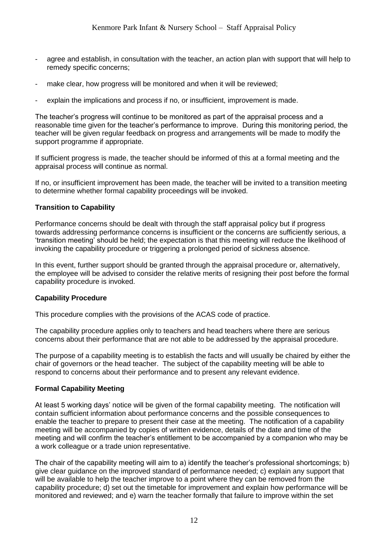- agree and establish, in consultation with the teacher, an action plan with support that will help to remedy specific concerns;
- make clear, how progress will be monitored and when it will be reviewed;
- explain the implications and process if no, or insufficient, improvement is made.

The teacher's progress will continue to be monitored as part of the appraisal process and a reasonable time given for the teacher's performance to improve. During this monitoring period, the teacher will be given regular feedback on progress and arrangements will be made to modify the support programme if appropriate.

If sufficient progress is made, the teacher should be informed of this at a formal meeting and the appraisal process will continue as normal.

If no, or insufficient improvement has been made, the teacher will be invited to a transition meeting to determine whether formal capability proceedings will be invoked.

# **Transition to Capability**

Performance concerns should be dealt with through the staff appraisal policy but if progress towards addressing performance concerns is insufficient or the concerns are sufficiently serious, a 'transition meeting' should be held; the expectation is that this meeting will reduce the likelihood of invoking the capability procedure or triggering a prolonged period of sickness absence.

In this event, further support should be granted through the appraisal procedure or, alternatively, the employee will be advised to consider the relative merits of resigning their post before the formal capability procedure is invoked.

# **Capability Procedure**

This procedure complies with the provisions of the ACAS code of practice.

The capability procedure applies only to teachers and head teachers where there are serious concerns about their performance that are not able to be addressed by the appraisal procedure.

The purpose of a capability meeting is to establish the facts and will usually be chaired by either the chair of governors or the head teacher. The subject of the capability meeting will be able to respond to concerns about their performance and to present any relevant evidence.

# **Formal Capability Meeting**

At least 5 working days' notice will be given of the formal capability meeting. The notification will contain sufficient information about performance concerns and the possible consequences to enable the teacher to prepare to present their case at the meeting. The notification of a capability meeting will be accompanied by copies of written evidence, details of the date and time of the meeting and will confirm the teacher's entitlement to be accompanied by a companion who may be a work colleague or a trade union representative.

The chair of the capability meeting will aim to a) identify the teacher's professional shortcomings; b) give clear guidance on the improved standard of performance needed; c) explain any support that will be available to help the teacher improve to a point where they can be removed from the capability procedure; d) set out the timetable for improvement and explain how performance will be monitored and reviewed; and e) warn the teacher formally that failure to improve within the set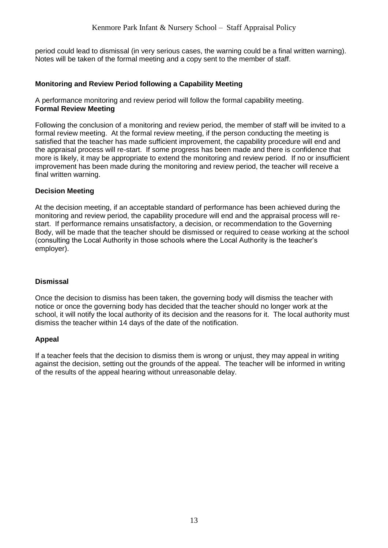period could lead to dismissal (in very serious cases, the warning could be a final written warning). Notes will be taken of the formal meeting and a copy sent to the member of staff.

# **Monitoring and Review Period following a Capability Meeting**

A performance monitoring and review period will follow the formal capability meeting. **Formal Review Meeting**

Following the conclusion of a monitoring and review period, the member of staff will be invited to a formal review meeting. At the formal review meeting, if the person conducting the meeting is satisfied that the teacher has made sufficient improvement, the capability procedure will end and the appraisal process will re-start. If some progress has been made and there is confidence that more is likely, it may be appropriate to extend the monitoring and review period. If no or insufficient improvement has been made during the monitoring and review period, the teacher will receive a final written warning.

# **Decision Meeting**

At the decision meeting, if an acceptable standard of performance has been achieved during the monitoring and review period, the capability procedure will end and the appraisal process will restart. If performance remains unsatisfactory, a decision, or recommendation to the Governing Body, will be made that the teacher should be dismissed or required to cease working at the school (consulting the Local Authority in those schools where the Local Authority is the teacher's employer).

# **Dismissal**

Once the decision to dismiss has been taken, the governing body will dismiss the teacher with notice or once the governing body has decided that the teacher should no longer work at the school, it will notify the local authority of its decision and the reasons for it. The local authority must dismiss the teacher within 14 days of the date of the notification.

# **Appeal**

If a teacher feels that the decision to dismiss them is wrong or unjust, they may appeal in writing against the decision, setting out the grounds of the appeal. The teacher will be informed in writing of the results of the appeal hearing without unreasonable delay.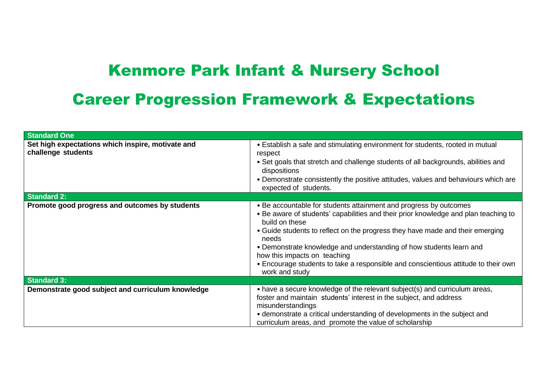# Kenmore Park Infant & Nursery School Career Progression Framework & Expectations

| <b>Standard One</b>                                                     |                                                                                                                                                                                                                                                                                                                                                                                                                                                                                     |
|-------------------------------------------------------------------------|-------------------------------------------------------------------------------------------------------------------------------------------------------------------------------------------------------------------------------------------------------------------------------------------------------------------------------------------------------------------------------------------------------------------------------------------------------------------------------------|
| Set high expectations which inspire, motivate and<br>challenge students | • Establish a safe and stimulating environment for students, rooted in mutual<br>respect<br>• Set goals that stretch and challenge students of all backgrounds, abilities and<br>dispositions<br>• Demonstrate consistently the positive attitudes, values and behaviours which are<br>expected of students.                                                                                                                                                                        |
| <b>Standard 2:</b>                                                      |                                                                                                                                                                                                                                                                                                                                                                                                                                                                                     |
| Promote good progress and outcomes by students                          | • Be accountable for students attainment and progress by outcomes<br>• Be aware of students' capabilities and their prior knowledge and plan teaching to<br>build on these<br>• Guide students to reflect on the progress they have made and their emerging<br>needs<br>• Demonstrate knowledge and understanding of how students learn and<br>how this impacts on teaching<br>• Encourage students to take a responsible and conscientious attitude to their own<br>work and study |
| <b>Standard 3:</b>                                                      |                                                                                                                                                                                                                                                                                                                                                                                                                                                                                     |
| Demonstrate good subject and curriculum knowledge                       | • have a secure knowledge of the relevant subject(s) and curriculum areas,<br>foster and maintain students' interest in the subject, and address<br>misunderstandings<br>• demonstrate a critical understanding of developments in the subject and<br>curriculum areas, and promote the value of scholarship                                                                                                                                                                        |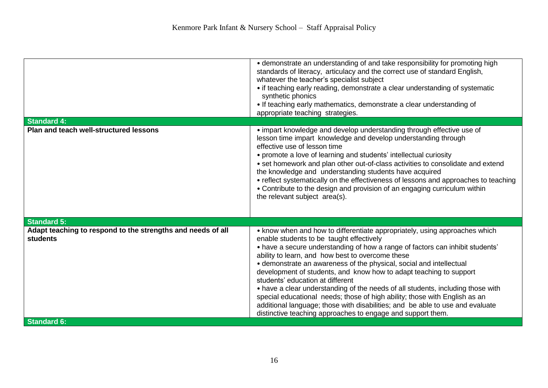|                                                                                | • demonstrate an understanding of and take responsibility for promoting high<br>standards of literacy, articulacy and the correct use of standard English,<br>whatever the teacher's specialist subject<br>• if teaching early reading, demonstrate a clear understanding of systematic<br>synthetic phonics<br>• If teaching early mathematics, demonstrate a clear understanding of<br>appropriate teaching strategies.                                                                                                                                                                                                                                                                                                                                     |
|--------------------------------------------------------------------------------|---------------------------------------------------------------------------------------------------------------------------------------------------------------------------------------------------------------------------------------------------------------------------------------------------------------------------------------------------------------------------------------------------------------------------------------------------------------------------------------------------------------------------------------------------------------------------------------------------------------------------------------------------------------------------------------------------------------------------------------------------------------|
| <b>Standard 4:</b><br><b>Plan and teach well-structured lessons</b>            | • impart knowledge and develop understanding through effective use of<br>lesson time impart knowledge and develop understanding through                                                                                                                                                                                                                                                                                                                                                                                                                                                                                                                                                                                                                       |
|                                                                                | effective use of lesson time<br>• promote a love of learning and students' intellectual curiosity<br>• set homework and plan other out-of-class activities to consolidate and extend<br>the knowledge and understanding students have acquired<br>• reflect systematically on the effectiveness of lessons and approaches to teaching<br>• Contribute to the design and provision of an engaging curriculum within<br>the relevant subject area(s).                                                                                                                                                                                                                                                                                                           |
| <b>Standard 5:</b>                                                             |                                                                                                                                                                                                                                                                                                                                                                                                                                                                                                                                                                                                                                                                                                                                                               |
| Adapt teaching to respond to the strengths and needs of all<br><b>students</b> | • know when and how to differentiate appropriately, using approaches which<br>enable students to be taught effectively<br>• have a secure understanding of how a range of factors can inhibit students'<br>ability to learn, and how best to overcome these<br>• demonstrate an awareness of the physical, social and intellectual<br>development of students, and know how to adapt teaching to support<br>students' education at different<br>• have a clear understanding of the needs of all students, including those with<br>special educational needs; those of high ability; those with English as an<br>additional language; those with disabilities; and be able to use and evaluate<br>distinctive teaching approaches to engage and support them. |
| <b>Standard 6:</b>                                                             |                                                                                                                                                                                                                                                                                                                                                                                                                                                                                                                                                                                                                                                                                                                                                               |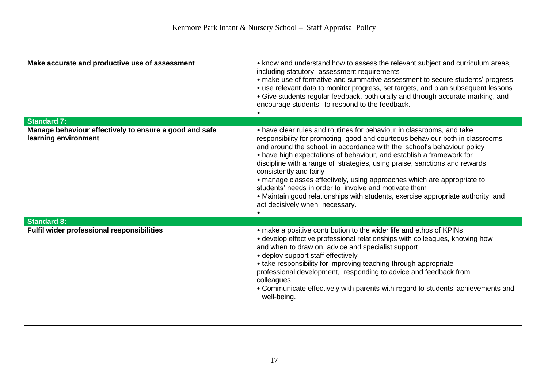| Make accurate and productive use of assessment                                 | • know and understand how to assess the relevant subject and curriculum areas,<br>including statutory assessment requirements<br>• make use of formative and summative assessment to secure students' progress<br>• use relevant data to monitor progress, set targets, and plan subsequent lessons<br>• Give students regular feedback, both orally and through accurate marking, and<br>encourage students to respond to the feedback.                                                                                                                                                                                                                                    |
|--------------------------------------------------------------------------------|-----------------------------------------------------------------------------------------------------------------------------------------------------------------------------------------------------------------------------------------------------------------------------------------------------------------------------------------------------------------------------------------------------------------------------------------------------------------------------------------------------------------------------------------------------------------------------------------------------------------------------------------------------------------------------|
| <b>Standard 7:</b>                                                             |                                                                                                                                                                                                                                                                                                                                                                                                                                                                                                                                                                                                                                                                             |
| Manage behaviour effectively to ensure a good and safe<br>learning environment | • have clear rules and routines for behaviour in classrooms, and take<br>responsibility for promoting good and courteous behaviour both in classrooms<br>and around the school, in accordance with the school's behaviour policy<br>• have high expectations of behaviour, and establish a framework for<br>discipline with a range of strategies, using praise, sanctions and rewards<br>consistently and fairly<br>• manage classes effectively, using approaches which are appropriate to<br>students' needs in order to involve and motivate them<br>• Maintain good relationships with students, exercise appropriate authority, and<br>act decisively when necessary. |
| <b>Standard 8:</b>                                                             |                                                                                                                                                                                                                                                                                                                                                                                                                                                                                                                                                                                                                                                                             |
| Fulfil wider professional responsibilities                                     | • make a positive contribution to the wider life and ethos of KPINs<br>• develop effective professional relationships with colleagues, knowing how<br>and when to draw on advice and specialist support<br>• deploy support staff effectively<br>• take responsibility for improving teaching through appropriate<br>professional development, responding to advice and feedback from<br>colleagues<br>• Communicate effectively with parents with regard to students' achievements and<br>well-being.                                                                                                                                                                      |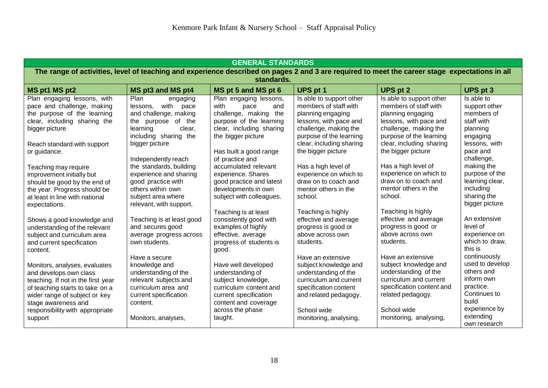| <b>GENERAL STANDARDS</b>                                                                                                                                                                                                               |                                                                                                                                                   |                                                                                                                                                                         |                                                                                                                                                                    |                                                                                                                                                                    |                                                                                                              |  |
|----------------------------------------------------------------------------------------------------------------------------------------------------------------------------------------------------------------------------------------|---------------------------------------------------------------------------------------------------------------------------------------------------|-------------------------------------------------------------------------------------------------------------------------------------------------------------------------|--------------------------------------------------------------------------------------------------------------------------------------------------------------------|--------------------------------------------------------------------------------------------------------------------------------------------------------------------|--------------------------------------------------------------------------------------------------------------|--|
| The range of activities, level of teaching and experience described on pages 2 and 3 are required to meet the career stage expectations in all                                                                                         |                                                                                                                                                   |                                                                                                                                                                         |                                                                                                                                                                    |                                                                                                                                                                    |                                                                                                              |  |
|                                                                                                                                                                                                                                        |                                                                                                                                                   | standards.                                                                                                                                                              |                                                                                                                                                                    |                                                                                                                                                                    |                                                                                                              |  |
| MS pt1 MS pt2                                                                                                                                                                                                                          | MS pt3 and MS pt4                                                                                                                                 | MS pt 5 and MS pt 6                                                                                                                                                     | UPS pt 1                                                                                                                                                           | <b>UPS pt 2</b>                                                                                                                                                    | UPS pt 3                                                                                                     |  |
| Plan engaging lessons, with<br>pace and challenge, making<br>the purpose of the learning<br>clear, including sharing the<br>bigger picture                                                                                             | Plan<br>engaging<br>lessons, with<br>pace<br>and challenge, making<br>the purpose of the<br>learning<br>clear,<br>including sharing the           | Plan engaging lessons,<br>with<br>pace<br>and<br>challenge, making the<br>purpose of the learning<br>clear, including sharing<br>the bigger picture                     | Is able to support other<br>members of staff with<br>planning engaging<br>lessons, with pace and<br>challenge, making the<br>purpose of the learning               | Is able to support other<br>members of staff with<br>planning engaging<br>lessons, with pace and<br>challenge, making the<br>purpose of the learning               | Is able to<br>support other<br>members of<br>staff with<br>planning<br>engaging                              |  |
| Reach standard with support<br>or guidance.                                                                                                                                                                                            | bigger picture<br>Independently reach                                                                                                             | Has built a good range<br>of practice and                                                                                                                               | clear, including sharing<br>the bigger picture                                                                                                                     | clear, including sharing<br>the bigger picture                                                                                                                     | lessons, with<br>pace and<br>challenge,                                                                      |  |
| Teaching may require<br>improvement initially but<br>should be good by the end of<br>the year. Progress should be<br>at least in line with national<br>expectations.                                                                   | the standards, building<br>experience and sharing<br>good practice with<br>others within own<br>subject area where<br>relevant, with support.     | accumulated relevant<br>experience. Shares<br>good practice and latest<br>developments in own<br>subject with colleagues.                                               | Has a high level of<br>experience on which to<br>draw on to coach and<br>mentor others in the<br>school.                                                           | Has a high level of<br>experience on which to<br>draw on to coach and<br>mentor others in the<br>school.                                                           | making the<br>purpose of the<br>learning clear,<br>including<br>sharing the<br>bigger picture                |  |
| Shows a good knowledge and<br>understanding of the relevant<br>subject and curriculum area<br>and current specification<br>content.                                                                                                    | Teaching is at least good<br>and secures good<br>average progress across<br>own students.<br>Have a secure                                        | Teaching is at least<br>consistently good with<br>examples of highly<br>effective, average<br>progress of students is<br>good.                                          | Teaching is highly<br>effective and average<br>progress is good or<br>above across own<br>students.<br>Have an extensive                                           | Teaching is highly<br>effective and average<br>progress is good or<br>above across own<br>students.<br>Have an extensive                                           | An extensive<br>level of<br>experience on<br>which to draw,<br>this is<br>continuously<br>used to develop    |  |
| Monitors, analyses, evaluates<br>and develops own class<br>teaching. If not in the first year<br>of teaching starts to take on a<br>wider range of subject or key<br>stage awareness and<br>responsibility with appropriate<br>support | knowledge and<br>understanding of the<br>relevant subjects and<br>curriculum area and<br>current specification<br>content.<br>Monitors, analyses, | Have well developed<br>understanding of<br>subject knowledge,<br>curriculum content and<br>current specification<br>content and coverage<br>across the phase<br>taught. | subject knowledge and<br>understanding of the<br>curriculum and current<br>specification content<br>and related pedagogy.<br>School wide<br>monitoring, analysing, | subject knowledge and<br>understanding of the<br>curriculum and current<br>specification content and<br>related pedagogy.<br>School wide<br>monitoring, analysing, | others and<br>inform own<br>practice.<br>Continues to<br>build<br>experience by<br>extending<br>own research |  |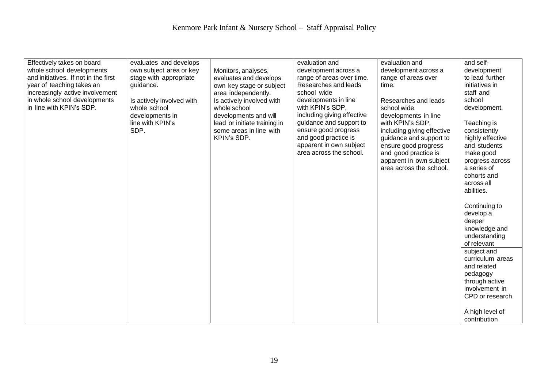| Effectively takes on board<br>whole school developments<br>and initiatives. If not in the first<br>year of teaching takes an<br>increasingly active involvement<br>in whole school developments<br>in line with KPIN's SDP. | evaluates and develops<br>own subject area or key<br>stage with appropriate<br>guidance.<br>Is actively involved with<br>whole school<br>developments in<br>line with KPIN's<br>SDP. | Monitors, analyses,<br>evaluates and develops<br>own key stage or subject<br>area independently.<br>Is actively involved with<br>whole school<br>developments and will<br>lead or initiate training in<br>some areas in line with<br>KPIN's SDP. | evaluation and<br>development across a<br>range of areas over time.<br>Researches and leads<br>school wide<br>developments in line<br>with KPIN's SDP,<br>including giving effective<br>guidance and support to<br>ensure good progress<br>and good practice is<br>apparent in own subject<br>area across the school. | evaluation and<br>development across a<br>range of areas over<br>time.<br>Researches and leads<br>school wide<br>developments in line<br>with KPIN's SDP,<br>including giving effective<br>guidance and support to<br>ensure good progress<br>and good practice is<br>apparent in own subject<br>area across the school. | and self-<br>development<br>to lead further<br>initiatives in<br>staff and<br>school<br>development.<br>Teaching is<br>consistently<br>highly effective<br>and students<br>make good<br>progress across<br>a series of<br>cohorts and<br>across all<br>abilities.<br>Continuing to<br>develop a<br>deeper<br>knowledge and<br>understanding<br>of relevant<br>subject and<br>curriculum areas<br>and related<br>pedagogy<br>through active<br>involvement in<br>CPD or research. |
|-----------------------------------------------------------------------------------------------------------------------------------------------------------------------------------------------------------------------------|--------------------------------------------------------------------------------------------------------------------------------------------------------------------------------------|--------------------------------------------------------------------------------------------------------------------------------------------------------------------------------------------------------------------------------------------------|-----------------------------------------------------------------------------------------------------------------------------------------------------------------------------------------------------------------------------------------------------------------------------------------------------------------------|--------------------------------------------------------------------------------------------------------------------------------------------------------------------------------------------------------------------------------------------------------------------------------------------------------------------------|----------------------------------------------------------------------------------------------------------------------------------------------------------------------------------------------------------------------------------------------------------------------------------------------------------------------------------------------------------------------------------------------------------------------------------------------------------------------------------|
|                                                                                                                                                                                                                             |                                                                                                                                                                                      |                                                                                                                                                                                                                                                  |                                                                                                                                                                                                                                                                                                                       |                                                                                                                                                                                                                                                                                                                          | A high level of<br>contribution                                                                                                                                                                                                                                                                                                                                                                                                                                                  |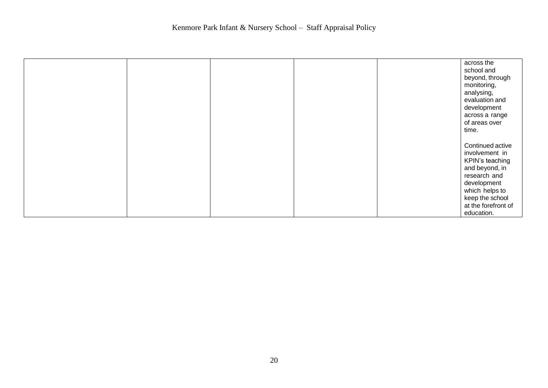|  |  | across the<br>school and<br>beyond, through<br>monitoring,<br>analysing,<br>evaluation and<br>development<br>across a range<br>of areas over<br>time. |
|--|--|-------------------------------------------------------------------------------------------------------------------------------------------------------|
|  |  |                                                                                                                                                       |
|  |  | Continued active<br>involvement in<br>KPIN's teaching<br>and beyond, in<br>research and<br>development<br>which helps to                              |
|  |  | keep the school                                                                                                                                       |
|  |  | at the forefront of<br>education.                                                                                                                     |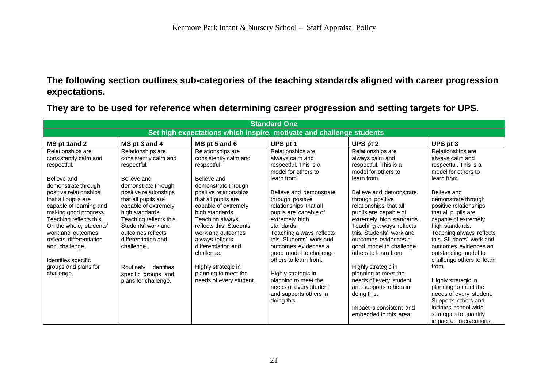**The following section outlines sub-categories of the teaching standards aligned with career progression expectations.**

| <b>Standard One</b>                                                                                                                                                                                                                                                                                                                                                                        |                                                                                                                                                                                                                                                                                                                                                                               |                                                                                                                                                                                                                                                                                                                                                                                                   |                                                                                                                                                                                                                                                                                                                                                                                                                                                                                             |                                                                                                                                                                                                                                                                                                                                                                                                                                                                                          |                                                                                                                                                                                                                                                                                                                                                                                                                                                                                                                |  |  |  |  |  |
|--------------------------------------------------------------------------------------------------------------------------------------------------------------------------------------------------------------------------------------------------------------------------------------------------------------------------------------------------------------------------------------------|-------------------------------------------------------------------------------------------------------------------------------------------------------------------------------------------------------------------------------------------------------------------------------------------------------------------------------------------------------------------------------|---------------------------------------------------------------------------------------------------------------------------------------------------------------------------------------------------------------------------------------------------------------------------------------------------------------------------------------------------------------------------------------------------|---------------------------------------------------------------------------------------------------------------------------------------------------------------------------------------------------------------------------------------------------------------------------------------------------------------------------------------------------------------------------------------------------------------------------------------------------------------------------------------------|------------------------------------------------------------------------------------------------------------------------------------------------------------------------------------------------------------------------------------------------------------------------------------------------------------------------------------------------------------------------------------------------------------------------------------------------------------------------------------------|----------------------------------------------------------------------------------------------------------------------------------------------------------------------------------------------------------------------------------------------------------------------------------------------------------------------------------------------------------------------------------------------------------------------------------------------------------------------------------------------------------------|--|--|--|--|--|
|                                                                                                                                                                                                                                                                                                                                                                                            | Set high expectations which inspire, motivate and challenge students                                                                                                                                                                                                                                                                                                          |                                                                                                                                                                                                                                                                                                                                                                                                   |                                                                                                                                                                                                                                                                                                                                                                                                                                                                                             |                                                                                                                                                                                                                                                                                                                                                                                                                                                                                          |                                                                                                                                                                                                                                                                                                                                                                                                                                                                                                                |  |  |  |  |  |
| MS pt 1and 2                                                                                                                                                                                                                                                                                                                                                                               | MS pt 3 and 4                                                                                                                                                                                                                                                                                                                                                                 | MS pt 5 and 6                                                                                                                                                                                                                                                                                                                                                                                     | UPS pt 1                                                                                                                                                                                                                                                                                                                                                                                                                                                                                    | UPS pt 2                                                                                                                                                                                                                                                                                                                                                                                                                                                                                 | UPS pt 3                                                                                                                                                                                                                                                                                                                                                                                                                                                                                                       |  |  |  |  |  |
| Relationships are<br>consistently calm and<br>respectful.<br>Believe and<br>demonstrate through<br>positive relationships<br>that all pupils are<br>capable of learning and<br>making good progress.<br>Teaching reflects this.<br>On the whole, students'<br>work and outcomes<br>reflects differentiation<br>and challenge.<br>Identifies specific<br>groups and plans for<br>challenge. | Relationships are<br>consistently calm and<br>respectful.<br>Believe and<br>demonstrate through<br>positive relationships<br>that all pupils are<br>capable of extremely<br>high standards.<br>Teaching reflects this.<br>Students' work and<br>outcomes reflects<br>differentiation and<br>challenge.<br>Routinely identifies<br>specific groups and<br>plans for challenge. | Relationships are<br>consistently calm and<br>respectful.<br>Believe and<br>demonstrate through<br>positive relationships<br>that all pupils are<br>capable of extremely<br>high standards.<br>Teaching always<br>reflects this. Students'<br>work and outcomes<br>always reflects<br>differentiation and<br>challenge.<br>Highly strategic in<br>planning to meet the<br>needs of every student. | Relationships are<br>always calm and<br>respectful. This is a<br>model for others to<br>learn from.<br>Believe and demonstrate<br>through positive<br>relationships that all<br>pupils are capable of<br>extremely high<br>standards.<br>Teaching always reflects<br>this. Students' work and<br>outcomes evidences a<br>good model to challenge<br>others to learn from.<br>Highly strategic in<br>planning to meet the<br>needs of every student<br>and supports others in<br>doing this. | Relationships are<br>always calm and<br>respectful. This is a<br>model for others to<br>learn from.<br>Believe and demonstrate<br>through positive<br>relationships that all<br>pupils are capable of<br>extremely high standards.<br>Teaching always reflects<br>this. Students' work and<br>outcomes evidences a<br>good model to challenge<br>others to learn from.<br>Highly strategic in<br>planning to meet the<br>needs of every student<br>and supports others in<br>doing this. | Relationships are<br>always calm and<br>respectful. This is a<br>model for others to<br>learn from.<br>Believe and<br>demonstrate through<br>positive relationships<br>that all pupils are<br>capable of extremely<br>high standards.<br>Teaching always reflects<br>this. Students' work and<br>outcomes evidences an<br>outstanding model to<br>challenge others to learn<br>from.<br>Highly strategic in<br>planning to meet the<br>needs of every student.<br>Supports others and<br>initiates school wide |  |  |  |  |  |
|                                                                                                                                                                                                                                                                                                                                                                                            |                                                                                                                                                                                                                                                                                                                                                                               |                                                                                                                                                                                                                                                                                                                                                                                                   |                                                                                                                                                                                                                                                                                                                                                                                                                                                                                             | Impact is consistent and<br>embedded in this area.                                                                                                                                                                                                                                                                                                                                                                                                                                       | strategies to quantify<br>impact of interventions.                                                                                                                                                                                                                                                                                                                                                                                                                                                             |  |  |  |  |  |

**They are to be used for reference when determining career progression and setting targets for UPS.**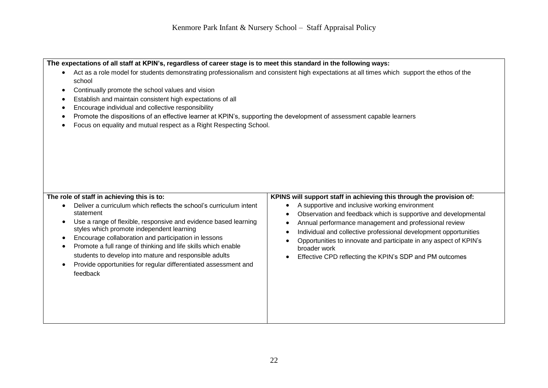The expectations of all staff at KPIN's, regardless of career stage is to meet this standard in the following ways:

- Act as a role model for students demonstrating professionalism and consistent high expectations at all times which support the ethos of the school
- Continually promote the school values and vision
- Establish and maintain consistent high expectations of all
- Encourage individual and collective responsibility
- Promote the dispositions of an effective learner at KPIN's, supporting the development of assessment capable learners
- Focus on equality and mutual respect as a Right Respecting School.

#### **The role of staff in achieving this is to:**

- Deliver a curriculum which reflects the school's curriculum intent statement
- Use a range of flexible, responsive and evidence based learning styles which promote independent learning
- Encourage collaboration and participation in lessons
- Promote a full range of thinking and life skills which enable students to develop into mature and responsible adults
- Provide opportunities for regular differentiated assessment and feedback

#### **KPINS will support staff in achieving this through the provision of:**

- A supportive and inclusive working environment
- Observation and feedback which is supportive and developmental
- Annual performance management and professional review
- Individual and collective professional development opportunities
- Opportunities to innovate and participate in any aspect of KPIN's broader work
- Effective CPD reflecting the KPIN's SDP and PM outcomes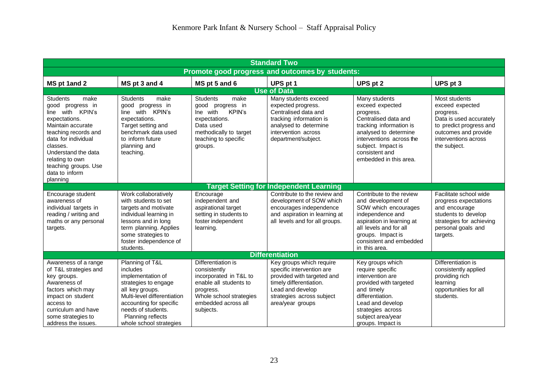| <b>Standard Two</b>                                                                                                                                                                                                                                                 |                                                                                                                                                                                                                                    |                                                                                                                                                                     |                                                                                                                                                                                     |                                                                                                                                                                                                                         |                                                                                                                                                                     |  |  |  |
|---------------------------------------------------------------------------------------------------------------------------------------------------------------------------------------------------------------------------------------------------------------------|------------------------------------------------------------------------------------------------------------------------------------------------------------------------------------------------------------------------------------|---------------------------------------------------------------------------------------------------------------------------------------------------------------------|-------------------------------------------------------------------------------------------------------------------------------------------------------------------------------------|-------------------------------------------------------------------------------------------------------------------------------------------------------------------------------------------------------------------------|---------------------------------------------------------------------------------------------------------------------------------------------------------------------|--|--|--|
|                                                                                                                                                                                                                                                                     | Promote good progress and outcomes by students:                                                                                                                                                                                    |                                                                                                                                                                     |                                                                                                                                                                                     |                                                                                                                                                                                                                         |                                                                                                                                                                     |  |  |  |
| MS pt 1and 2                                                                                                                                                                                                                                                        | MS pt 3 and 4                                                                                                                                                                                                                      | MS pt 5 and 6                                                                                                                                                       | UPS pt 1                                                                                                                                                                            | UPS pt 2                                                                                                                                                                                                                | UPS pt 3                                                                                                                                                            |  |  |  |
|                                                                                                                                                                                                                                                                     |                                                                                                                                                                                                                                    |                                                                                                                                                                     | <b>Use of Data</b>                                                                                                                                                                  |                                                                                                                                                                                                                         |                                                                                                                                                                     |  |  |  |
| <b>Students</b><br>make<br>good progress in<br>with KPIN's<br>line<br>expectations.<br>Maintain accurate<br>teaching records and<br>data for individual<br>classes.<br>Understand the data<br>relating to own<br>teaching groups. Use<br>data to inform<br>planning | <b>Students</b><br>make<br>good progress in<br>with KPIN's<br>line<br>expectations.<br>Target setting and<br>benchmark data used<br>to inform future<br>planning and<br>teaching.                                                  | make<br><b>Students</b><br>good progress in<br><b>KPIN's</b><br>Ine with<br>expectations.<br>Data used<br>methodically to target<br>teaching to specific<br>groups. | Many students exceed<br>expected progress.<br>Centralised data and<br>tracking information is<br>analysed to determine<br>intervention across<br>department/subject.                | Many students<br>exceed expected<br>progress.<br>Centralised data and<br>tracking information is<br>analysed to determine<br>interventions across the<br>subject. Impact is<br>consistent and<br>embedded in this area. | Most students<br>exceed expected<br>progress.<br>Data is used accurately<br>to predict progress and<br>outcomes and provide<br>interventions across<br>the subject. |  |  |  |
|                                                                                                                                                                                                                                                                     |                                                                                                                                                                                                                                    |                                                                                                                                                                     | <b>Target Setting for Independent Learning</b>                                                                                                                                      |                                                                                                                                                                                                                         |                                                                                                                                                                     |  |  |  |
| Encourage student<br>awareness of<br>individual targets in<br>reading / writing and<br>maths or any personal<br>targets.                                                                                                                                            | Work collaboratively<br>with students to set<br>targets and motivate<br>individual learning in<br>lessons and in long<br>term planning. Applies<br>some strategies to<br>foster independence of<br>students.                       | Encourage<br>independent and<br>aspirational target<br>setting in students to<br>foster independent<br>learning.                                                    | Contribute to the review and<br>development of SOW which<br>encourages independence<br>and aspiration in learning at<br>all levels and for all groups.                              | Contribute to the review<br>and development of<br>SOW which encourages<br>independence and<br>aspiration in learning at<br>all levels and for all<br>groups. Impact is<br>consistent and embedded<br>in this area.      | Facilitate school wide<br>progress expectations<br>and encourage<br>students to develop<br>strategies for achieving<br>personal goals and<br>targets.               |  |  |  |
|                                                                                                                                                                                                                                                                     |                                                                                                                                                                                                                                    |                                                                                                                                                                     | <b>Differentiation</b>                                                                                                                                                              |                                                                                                                                                                                                                         |                                                                                                                                                                     |  |  |  |
| Awareness of a range<br>of T&L strategies and<br>key groups.<br>Awareness of<br>factors which may<br>impact on student<br>access to<br>curriculum and have<br>some strategies to<br>address the issues.                                                             | Planning of T&L<br>includes<br>implementation of<br>strategies to engage<br>all key groups.<br>Multi-level differentiation<br>accounting for specific<br>needs of students.<br><b>Planning reflects</b><br>whole school strategies | Differentiation is<br>consistently<br>incorporated in T&L to<br>enable all students to<br>progress.<br>Whole school strategies<br>embedded across all<br>subjects.  | Key groups which require<br>specific intervention are<br>provided with targeted and<br>timely differentiation.<br>Lead and develop<br>strategies across subject<br>area/year groups | Key groups which<br>require specific<br>intervention are<br>provided with targeted<br>and timely<br>differentiation.<br>Lead and develop<br>strategies across<br>subject area/year<br>groups. Impact is                 | Differentiation is<br>consistently applied<br>providing rich<br>learning<br>opportunities for all<br>students.                                                      |  |  |  |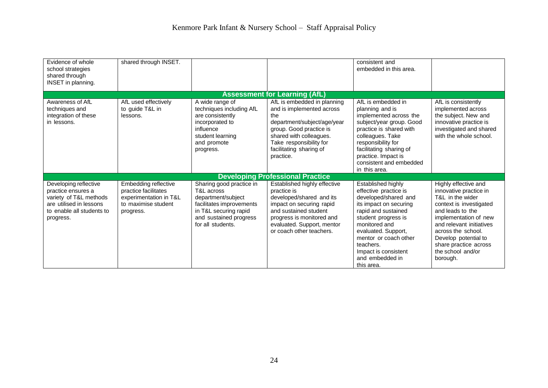| Evidence of whole<br>school strategies<br>shared through<br>INSET in planning.                                                             | shared through INSET.                                                                                      |                                                                                                                                                                  |                                                                                                                                                                                                                         | consistent and<br>embedded in this area.                                                                                                                                                                                                                                           |                                                                                                                                                                                                                                                                                |
|--------------------------------------------------------------------------------------------------------------------------------------------|------------------------------------------------------------------------------------------------------------|------------------------------------------------------------------------------------------------------------------------------------------------------------------|-------------------------------------------------------------------------------------------------------------------------------------------------------------------------------------------------------------------------|------------------------------------------------------------------------------------------------------------------------------------------------------------------------------------------------------------------------------------------------------------------------------------|--------------------------------------------------------------------------------------------------------------------------------------------------------------------------------------------------------------------------------------------------------------------------------|
|                                                                                                                                            |                                                                                                            |                                                                                                                                                                  | <b>Assessment for Learning (AfL)</b>                                                                                                                                                                                    |                                                                                                                                                                                                                                                                                    |                                                                                                                                                                                                                                                                                |
| Awareness of AfL<br>techniques and<br>integration of these<br>in lessons.                                                                  | AfL used effectively<br>to quide T&L in<br>lessons.                                                        | A wide range of<br>techniques including AfL<br>are consistently<br>incorporated to<br>influence<br>student learning<br>and promote<br>progress.                  | AfL is embedded in planning<br>and is implemented across<br>the<br>department/subject/age/year<br>group. Good practice is<br>shared with colleagues.<br>Take responsibility for<br>facilitating sharing of<br>practice. | AfL is embedded in<br>planning and is<br>implemented across the<br>subject/year group. Good<br>practice is shared with<br>colleagues. Take<br>responsibility for<br>facilitating sharing of<br>practice. Impact is<br>consistent and embedded<br>in this area.                     | AfL is consistently<br>implemented across<br>the subject. New and<br>innovative practice is<br>investigated and shared<br>with the whole school.                                                                                                                               |
|                                                                                                                                            |                                                                                                            |                                                                                                                                                                  | <b>Developing Professional Practice</b>                                                                                                                                                                                 |                                                                                                                                                                                                                                                                                    |                                                                                                                                                                                                                                                                                |
| Developing reflective<br>practice ensures a<br>variety of T&L methods<br>are utilised in lessons<br>to enable all students to<br>progress. | Embedding reflective<br>practice facilitates<br>experimentation in T&L<br>to maximise student<br>progress. | Sharing good practice in<br>T&L across<br>department/subject<br>facilitates improvements<br>in T&L securing rapid<br>and sustained progress<br>for all students. | Established highly effective<br>practice is<br>developed/shared and its<br>impact on securing rapid<br>and sustained student<br>progress is monitored and<br>evaluated. Support, mentor<br>or coach other teachers.     | Established highly<br>effective practice is<br>developed/shared and<br>its impact on securing<br>rapid and sustained<br>student progress is<br>monitored and<br>evaluated. Support,<br>mentor or coach other<br>teachers.<br>Impact is consistent<br>and embedded in<br>this area. | Highly effective and<br>innovative practice in<br>T&L in the wider<br>context is investigated<br>and leads to the<br>implementation of new<br>and relevant initiatives<br>across the school.<br>Develop potential to<br>share practice across<br>the school and/or<br>borough. |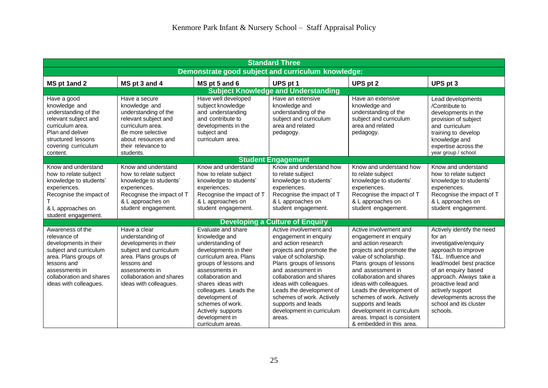| <b>Standard Three</b>                                                                                                                                                                               |                                                                                                                                                                                                     |                                                                                                                                                                                                                                                                                                                            |                                                                                                                                                                                                                                                                                                                                                         |                                                                                                                                                                                                                                                                                                                                                                                                          |                                                                                                                                                                                                                                                                                                     |  |  |  |
|-----------------------------------------------------------------------------------------------------------------------------------------------------------------------------------------------------|-----------------------------------------------------------------------------------------------------------------------------------------------------------------------------------------------------|----------------------------------------------------------------------------------------------------------------------------------------------------------------------------------------------------------------------------------------------------------------------------------------------------------------------------|---------------------------------------------------------------------------------------------------------------------------------------------------------------------------------------------------------------------------------------------------------------------------------------------------------------------------------------------------------|----------------------------------------------------------------------------------------------------------------------------------------------------------------------------------------------------------------------------------------------------------------------------------------------------------------------------------------------------------------------------------------------------------|-----------------------------------------------------------------------------------------------------------------------------------------------------------------------------------------------------------------------------------------------------------------------------------------------------|--|--|--|
|                                                                                                                                                                                                     | Demonstrate good subject and curriculum knowledge:                                                                                                                                                  |                                                                                                                                                                                                                                                                                                                            |                                                                                                                                                                                                                                                                                                                                                         |                                                                                                                                                                                                                                                                                                                                                                                                          |                                                                                                                                                                                                                                                                                                     |  |  |  |
| MS pt 1and 2                                                                                                                                                                                        | MS pt 3 and 4                                                                                                                                                                                       | MS pt 5 and 6                                                                                                                                                                                                                                                                                                              | UPS pt 1                                                                                                                                                                                                                                                                                                                                                | UPS pt 2                                                                                                                                                                                                                                                                                                                                                                                                 | UPS pt 3                                                                                                                                                                                                                                                                                            |  |  |  |
|                                                                                                                                                                                                     |                                                                                                                                                                                                     |                                                                                                                                                                                                                                                                                                                            | <b>Subject Knowledge and Understanding</b>                                                                                                                                                                                                                                                                                                              |                                                                                                                                                                                                                                                                                                                                                                                                          |                                                                                                                                                                                                                                                                                                     |  |  |  |
| Have a good<br>knowledge and<br>understanding of the<br>relevant subject and<br>curriculum area.<br>Plan and deliver<br>structured lessons<br>covering curriculum<br>content.                       | Have a secure<br>knowledge and<br>understanding of the<br>relevant subject and<br>curriculum area.<br>Be more selective<br>about resources and<br>their relevance to<br>students.                   | Have well developed<br>subject knowledge<br>and understanding<br>and contribute to<br>developments in the<br>subject and<br>curriculum area.                                                                                                                                                                               | Have an extensive<br>knowledge and<br>understanding of the<br>subject and curriculum<br>area and related<br>pedagogy.                                                                                                                                                                                                                                   | Have an extensive<br>knowledge and<br>understanding of the<br>subject and curriculum<br>area and related<br>pedagogy.                                                                                                                                                                                                                                                                                    | Lead developments<br>/Contribute to<br>developments in the<br>provision of subject<br>and curriculum<br>training to develop<br>knowledge and<br>expertise across the<br>year group / school.                                                                                                        |  |  |  |
|                                                                                                                                                                                                     |                                                                                                                                                                                                     |                                                                                                                                                                                                                                                                                                                            | <b>Student Engagement</b>                                                                                                                                                                                                                                                                                                                               |                                                                                                                                                                                                                                                                                                                                                                                                          |                                                                                                                                                                                                                                                                                                     |  |  |  |
| Know and understand<br>how to relate subject<br>knowledge to students'<br>experiences.<br>Recognise the impact of<br>& L approaches on<br>student engagement.                                       | Know and understand<br>how to relate subject<br>knowledge to students'<br>experiences.<br>Recognise the impact of T<br>& L approaches on<br>student engagement.                                     | Know and understand<br>how to relate subject<br>knowledge to students'<br>experiences.<br>Recognise the impact of T<br>& L approaches on<br>student engagement.                                                                                                                                                            | Know and understand how<br>to relate subject<br>knowledge to students'<br>experiences.<br>Recognise the impact of T<br>& L approaches on<br>student engagement.                                                                                                                                                                                         | Know and understand how<br>to relate subject<br>knowledge to students'<br>experiences.<br>Recognise the impact of T<br>& L approaches on<br>student engagement.                                                                                                                                                                                                                                          | Know and understand<br>how to relate subject<br>knowledge to students'<br>experiences.<br>Recognise the impact of T<br>& L approaches on<br>student engagement.                                                                                                                                     |  |  |  |
|                                                                                                                                                                                                     |                                                                                                                                                                                                     |                                                                                                                                                                                                                                                                                                                            | <b>Developing a Culture of Enquiry</b>                                                                                                                                                                                                                                                                                                                  |                                                                                                                                                                                                                                                                                                                                                                                                          |                                                                                                                                                                                                                                                                                                     |  |  |  |
| Awareness of the<br>relevance of<br>developments in their<br>subject and curriculum<br>area. Plans groups of<br>lessons and<br>assessments in<br>collaboration and shares<br>ideas with colleagues. | Have a clear<br>understanding of<br>developments in their<br>subject and curriculum<br>area. Plans groups of<br>lessons and<br>assessments in<br>collaboration and shares<br>ideas with colleagues. | Evaluate and share<br>knowledge and<br>understanding of<br>developments in their<br>curriculum area. Plans<br>groups of lessons and<br>assessments in<br>collaboration and<br>shares ideas with<br>colleagues. Leads the<br>development of<br>schemes of work.<br>Actively supports<br>development in<br>curriculum areas. | Active involvement and<br>engagement in enquiry<br>and action research<br>projects and promote the<br>value of scholarship.<br>Plans groups of lessons<br>and assessment in<br>collaboration and shares<br>ideas with colleagues.<br>Leads the development of<br>schemes of work. Actively<br>supports and leads<br>development in curriculum<br>areas. | Active involvement and<br>engagement in enquiry<br>and action research<br>projects and promote the<br>value of scholarship.<br>Plans groups of lessons<br>and assessment in<br>collaboration and shares<br>ideas with colleagues.<br>Leads the development of<br>schemes of work. Actively<br>supports and leads<br>development in curriculum<br>areas. Impact is consistent<br>& embedded in this area. | Actively identify the need<br>for an<br>investigative/enquiry<br>approach to improve<br>T&L. Influence and<br>lead/model best practice<br>of an enquiry based<br>approach. Always take a<br>proactive lead and<br>actively support<br>developments across the<br>school and its cluster<br>schools. |  |  |  |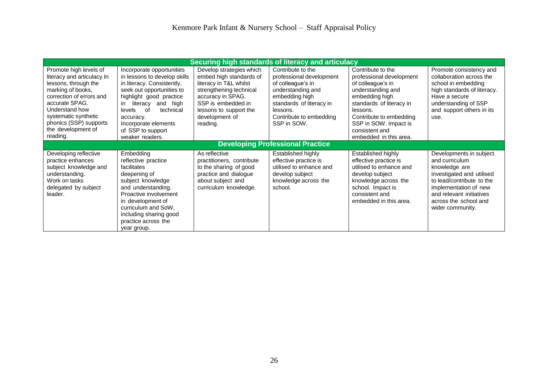|                                                                                                                                                                                                                                                       | Securing high standards of literacy and articulacy                                                                                                                                                                                                                                       |                                                                                                                                                                                                             |                                                                                                                                                                                             |                                                                                                                                                                                                                                                   |                                                                                                                                                                                                                        |  |  |  |
|-------------------------------------------------------------------------------------------------------------------------------------------------------------------------------------------------------------------------------------------------------|------------------------------------------------------------------------------------------------------------------------------------------------------------------------------------------------------------------------------------------------------------------------------------------|-------------------------------------------------------------------------------------------------------------------------------------------------------------------------------------------------------------|---------------------------------------------------------------------------------------------------------------------------------------------------------------------------------------------|---------------------------------------------------------------------------------------------------------------------------------------------------------------------------------------------------------------------------------------------------|------------------------------------------------------------------------------------------------------------------------------------------------------------------------------------------------------------------------|--|--|--|
| Promote high levels of<br>literacy and articulacy In<br>lessons, through the<br>marking of books,<br>correction of errors and<br>accurate SPAG.<br>Understand how<br>systematic synthetic<br>phonics (SSP) supports<br>the development of<br>reading. | Incorporate opportunities<br>in lessons to develop skills<br>in literacy. Consistently,<br>seek out opportunities to<br>highlight good practice<br>and high<br>literacy<br>in.<br>technical<br>levels<br>റf<br>accuracy.<br>Incorporate elements<br>of SSP to support<br>weaker readers. | Develop strategies which<br>embed high standards of<br>literacy in T&L whilst<br>strengthening technical<br>accuracy in SPAG.<br>SSP is embedded in<br>lessons to support the<br>development of<br>reading. | Contribute to the<br>professional development<br>of colleague's in<br>understanding and<br>embedding high<br>standards of literacy in<br>lessons.<br>Contribute to embedding<br>SSP in SOW. | Contribute to the<br>professional development<br>of colleague's in<br>understanding and<br>embedding high<br>standards of literacy in<br>lessons.<br>Contribute to embedding<br>SSP in SOW. Impact is<br>consistent and<br>embedded in this area. | Promote consistency and<br>collaboration across the<br>school in embedding<br>high standards of literacy.<br>Have a secure<br>understanding of SSP<br>and support others in its<br>use.                                |  |  |  |
|                                                                                                                                                                                                                                                       |                                                                                                                                                                                                                                                                                          |                                                                                                                                                                                                             | <b>Developing Professional Practice</b>                                                                                                                                                     |                                                                                                                                                                                                                                                   |                                                                                                                                                                                                                        |  |  |  |
| Developing reflective<br>practice enhances<br>subject knowledge and<br>understanding.<br>Work on tasks<br>delegated by subject<br>leader.                                                                                                             | Embedding<br>reflective practice<br>facilitates<br>deepening of<br>subject knowledge<br>and understanding.<br>Proactive involvement<br>in development of<br>curriculum and SoW,<br>including sharing good<br>practice across the<br>year group.                                          | As reflective<br>practitioners, contribute<br>to the sharing of good<br>practice and dialogue<br>about subject and<br>curriculum knowledge.                                                                 | Established highly<br>effective practice is<br>utilised to enhance and<br>develop subject<br>knowledge across the<br>school.                                                                | Established highly<br>effective practice is<br>utilised to enhance and<br>develop subject<br>knowledge across the<br>school. Impact is<br>consistent and<br>embedded in this area.                                                                | Developments in subject<br>and curriculum<br>knowledge are<br>investigated and utilised<br>to lead/contribute to the<br>implementation of new<br>and relevant initiatives<br>across the school and<br>wider community. |  |  |  |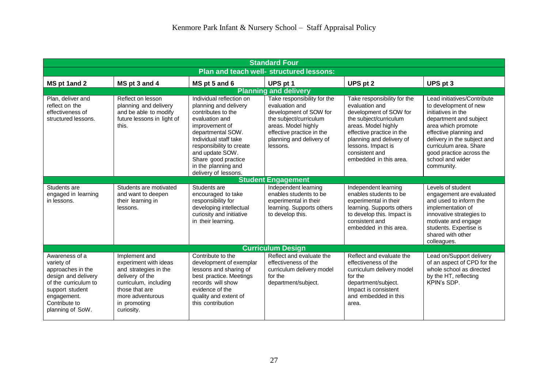| <b>Standard Four</b>                                                                                                                                                    |                                                                                                                                                                                 |                                                                                                                                                                                                                                                                                |                                                                                                                                                                                               |                                                                                                                                                                                                                                                     |                                                                                                                                                                                                                                                                             |  |
|-------------------------------------------------------------------------------------------------------------------------------------------------------------------------|---------------------------------------------------------------------------------------------------------------------------------------------------------------------------------|--------------------------------------------------------------------------------------------------------------------------------------------------------------------------------------------------------------------------------------------------------------------------------|-----------------------------------------------------------------------------------------------------------------------------------------------------------------------------------------------|-----------------------------------------------------------------------------------------------------------------------------------------------------------------------------------------------------------------------------------------------------|-----------------------------------------------------------------------------------------------------------------------------------------------------------------------------------------------------------------------------------------------------------------------------|--|
| Plan and teach well- structured lessons:                                                                                                                                |                                                                                                                                                                                 |                                                                                                                                                                                                                                                                                |                                                                                                                                                                                               |                                                                                                                                                                                                                                                     |                                                                                                                                                                                                                                                                             |  |
| MS pt 1and 2                                                                                                                                                            | MS pt 3 and 4                                                                                                                                                                   | MS pt 5 and 6                                                                                                                                                                                                                                                                  | UPS pt 1                                                                                                                                                                                      | UPS pt 2                                                                                                                                                                                                                                            | UPS pt 3                                                                                                                                                                                                                                                                    |  |
|                                                                                                                                                                         |                                                                                                                                                                                 |                                                                                                                                                                                                                                                                                | <b>Planning and delivery</b>                                                                                                                                                                  |                                                                                                                                                                                                                                                     |                                                                                                                                                                                                                                                                             |  |
| Plan, deliver and<br>reflect on the<br>effectiveness of<br>structured lessons.                                                                                          | Reflect on lesson<br>planning and delivery<br>and be able to modify<br>future lessons in light of<br>this.                                                                      | Individual reflection on<br>planning and delivery<br>contributes to the<br>evaluation and<br>improvement of<br>departmental SOW.<br>Individual staff take<br>responsibility to create<br>and update SOW.<br>Share good practice<br>in the planning and<br>delivery of lessons. | Take responsibility for the<br>evaluation and<br>development of SOW for<br>the subject/curriculum<br>areas. Model highly<br>effective practice in the<br>planning and delivery of<br>lessons. | Take responsibility for the<br>evaluation and<br>development of SOW for<br>the subject/curriculum<br>areas. Model highly<br>effective practice in the<br>planning and delivery of<br>lessons. Impact is<br>consistent and<br>embedded in this area. | Lead initiatives/Contribute<br>to development of new<br>initiatives in the<br>department and subject<br>area which promote<br>effective planning and<br>delivery in the subject and<br>curriculum area. Share<br>good practice across the<br>school and wider<br>community. |  |
|                                                                                                                                                                         |                                                                                                                                                                                 |                                                                                                                                                                                                                                                                                | <b>Student Engagement</b>                                                                                                                                                                     |                                                                                                                                                                                                                                                     |                                                                                                                                                                                                                                                                             |  |
| Students are<br>engaged in learning<br>in lessons.                                                                                                                      | Students are motivated<br>and want to deepen<br>their learning in<br>lessons.                                                                                                   | Students are<br>encouraged to take<br>responsibility for<br>developing intellectual<br>curiosity and initiative<br>in their learning.                                                                                                                                          | Independent learning<br>enables students to be<br>experimental in their<br>learning. Supports others<br>to develop this.                                                                      | Independent learning<br>enables students to be<br>experimental in their<br>learning. Supports others<br>to develop this. Impact is<br>consistent and<br>embedded in this area.                                                                      | Levels of student<br>engagement are evaluated<br>and used to inform the<br>implementation of<br>innovative strategies to<br>motivate and engage<br>students. Expertise is<br>shared with other<br>colleagues.                                                               |  |
|                                                                                                                                                                         |                                                                                                                                                                                 |                                                                                                                                                                                                                                                                                | <b>Curriculum Design</b>                                                                                                                                                                      |                                                                                                                                                                                                                                                     |                                                                                                                                                                                                                                                                             |  |
| Awareness of a<br>variety of<br>approaches in the<br>design and delivery<br>of the curriculum to<br>support student<br>engagement.<br>Contribute to<br>planning of SoW. | Implement and<br>experiment with ideas<br>and strategies in the<br>delivery of the<br>curriculum, including<br>those that are<br>more adventurous<br>in promoting<br>curiosity. | Contribute to the<br>development of exemplar<br>lessons and sharing of<br>best practice. Meetings<br>records will show<br>evidence of the<br>quality and extent of<br>this contribution                                                                                        | Reflect and evaluate the<br>effectiveness of the<br>curriculum delivery model<br>for the<br>department/subject.                                                                               | Reflect and evaluate the<br>effectiveness of the<br>curriculum delivery model<br>for the<br>department/subject.<br>Impact is consistent<br>and embedded in this<br>area.                                                                            | Lead on/Support delivery<br>of an aspect of CPD for the<br>whole school as directed<br>by the HT, reflecting<br>KPIN's SDP.                                                                                                                                                 |  |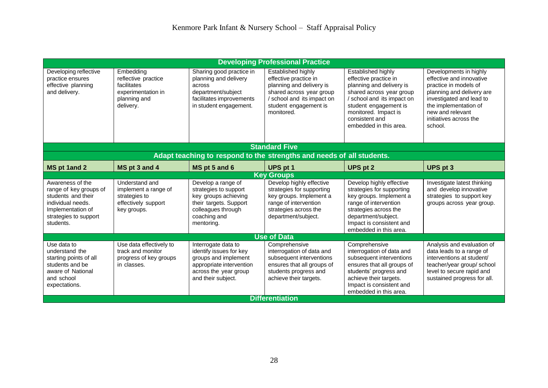| <b>Developing Professional Practice</b>                                                                                                          |                                                                                                    |                                                                                                                                                   |                                                                                                                                                                                   |                                                                                                                                                                                                                                |                                                                                                                                                                                                                        |  |
|--------------------------------------------------------------------------------------------------------------------------------------------------|----------------------------------------------------------------------------------------------------|---------------------------------------------------------------------------------------------------------------------------------------------------|-----------------------------------------------------------------------------------------------------------------------------------------------------------------------------------|--------------------------------------------------------------------------------------------------------------------------------------------------------------------------------------------------------------------------------|------------------------------------------------------------------------------------------------------------------------------------------------------------------------------------------------------------------------|--|
| Developing reflective<br>practice ensures<br>effective planning<br>and delivery.                                                                 | Embedding<br>reflective practice<br>facilitates<br>experimentation in<br>planning and<br>delivery. | Sharing good practice in<br>planning and delivery<br>across<br>department/subject<br>facilitates improvements<br>in student engagement.           | Established highly<br>effective practice in<br>planning and delivery is<br>shared across year group<br>/ school and its impact on<br>student engagement is<br>monitored.          | Established highly<br>effective practice in<br>planning and delivery is<br>shared across year group<br>/ school and its impact on<br>student engagement is<br>monitored. Impact is<br>consistent and<br>embedded in this area. | Developments in highly<br>effective and innovative<br>practice in models of<br>planning and delivery are<br>investigated and lead to<br>the implementation of<br>new and relevant<br>initiatives across the<br>school. |  |
|                                                                                                                                                  |                                                                                                    |                                                                                                                                                   | <b>Standard Five</b>                                                                                                                                                              |                                                                                                                                                                                                                                |                                                                                                                                                                                                                        |  |
|                                                                                                                                                  |                                                                                                    |                                                                                                                                                   | Adapt teaching to respond to the strengths and needs of all students.                                                                                                             |                                                                                                                                                                                                                                |                                                                                                                                                                                                                        |  |
| <b>MS pt 1and 2</b>                                                                                                                              | MS pt 3 and 4                                                                                      | MS pt 5 and 6                                                                                                                                     | UPS pt 1                                                                                                                                                                          | <b>UPS pt 2</b>                                                                                                                                                                                                                | <b>UPS</b> pt 3                                                                                                                                                                                                        |  |
|                                                                                                                                                  |                                                                                                    |                                                                                                                                                   | <b>Key Groups</b>                                                                                                                                                                 |                                                                                                                                                                                                                                |                                                                                                                                                                                                                        |  |
| Awareness of the<br>range of key groups of<br>students and their<br>individual needs.<br>Implementation of<br>strategies to support<br>students. | Understand and<br>implement a range of<br>strategies to<br>effectively support<br>key groups.      | Develop a range of<br>strategies to support<br>key groups achieving<br>their targets. Support<br>colleagues through<br>coaching and<br>mentoring. | Develop highly effective<br>strategies for supporting<br>key groups. Implement a<br>range of intervention<br>strategies across the<br>department/subject.                         | Develop highly effective<br>strategies for supporting<br>key groups. Implement a<br>range of intervention<br>strategies across the<br>department/subject.<br>Impact is consistent and<br>embedded in this area.                | Investigate latest thinking<br>and develop innovative<br>strategies to support key<br>groups across year group.                                                                                                        |  |
|                                                                                                                                                  |                                                                                                    |                                                                                                                                                   | <b>Use of Data</b>                                                                                                                                                                |                                                                                                                                                                                                                                |                                                                                                                                                                                                                        |  |
| Use data to<br>understand the<br>starting points of all<br>students and be<br>aware of National<br>and school<br>expectations.                   | Use data effectively to<br>track and monitor<br>progress of key groups<br>in classes.              | Interrogate data to<br>identify issues for key<br>groups and implement<br>appropriate intervention<br>across the year group<br>and their subject. | Comprehensive<br>interrogation of data and<br>subsequent interventions<br>ensures that all groups of<br>students progress and<br>achieve their targets.<br><b>Differentiation</b> | Comprehensive<br>interrogation of data and<br>subsequent interventions<br>ensures that all groups of<br>students' progress and<br>achieve their targets.<br>Impact is consistent and<br>embedded in this area.                 | Analysis and evaluation of<br>data leads to a range of<br>interventions at student/<br>teacher/year group/ school<br>level to secure rapid and<br>sustained progress for all.                                          |  |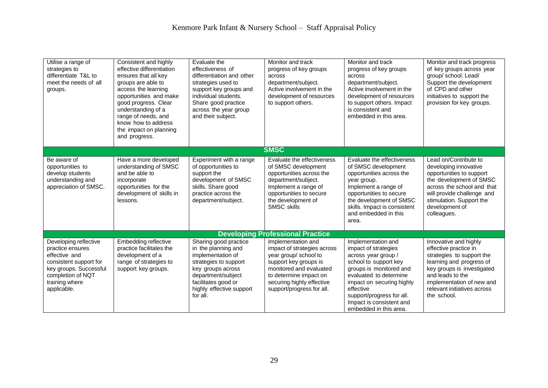| Utilise a range of<br>strategies to<br>differentiate T&L to<br>meet the needs of all<br>groups.                                                                      | Consistent and highly<br>effective differentiation<br>ensures that all key<br>groups are able to<br>access the learning<br>opportunities and make<br>good progress. Clear<br>understanding of a<br>range of needs, and<br>know how to address<br>the impact on planning<br>and progress. | Evaluate the<br>effectiveness of<br>differentiation and other<br>strategies used to<br>support key groups and<br>individual students.<br>Share good practice<br>across the year group<br>and their subject. | Monitor and track<br>progress of key groups<br>across<br>department/subject.<br>Active involvement in the<br>development of resources<br>to support others.                                                        | Monitor and track<br>progress of key groups<br>across<br>department/subject.<br>Active involvement in the<br>development of resources<br>to support others. Impact<br>is consistent and<br>embedded in this area.                                                            | Monitor and track progress<br>of key groups across year<br>group/ school. Lead/<br>Support the development<br>of CPD and other<br>initiatives to support the<br>provision for key groups.                                            |
|----------------------------------------------------------------------------------------------------------------------------------------------------------------------|------------------------------------------------------------------------------------------------------------------------------------------------------------------------------------------------------------------------------------------------------------------------------------------|-------------------------------------------------------------------------------------------------------------------------------------------------------------------------------------------------------------|--------------------------------------------------------------------------------------------------------------------------------------------------------------------------------------------------------------------|------------------------------------------------------------------------------------------------------------------------------------------------------------------------------------------------------------------------------------------------------------------------------|--------------------------------------------------------------------------------------------------------------------------------------------------------------------------------------------------------------------------------------|
|                                                                                                                                                                      |                                                                                                                                                                                                                                                                                          |                                                                                                                                                                                                             | <b>SMSC</b>                                                                                                                                                                                                        |                                                                                                                                                                                                                                                                              |                                                                                                                                                                                                                                      |
| Be aware of<br>opportunities to<br>develop students<br>understanding and<br>appreciation of SMSC.                                                                    | Have a more developed<br>understanding of SMSC<br>and be able to<br>incorporate<br>opportunities for the<br>development of skills in<br>lessons.                                                                                                                                         | Experiment with a range<br>of opportunities to<br>support the<br>development of SMSC<br>skills. Share good<br>practice across the<br>department/subject.                                                    | Evaluate the effectiveness<br>of SMSC development<br>opportunities across the<br>department/subject.<br>Implement a range of<br>opportunities to secure<br>the development of<br><b>SMSC skills</b>                | Evaluate the effectiveness<br>of SMSC development<br>opportunities across the<br>year group.<br>Implement a range of<br>opportunities to secure<br>the development of SMSC<br>skills. Impact is consistent<br>and embedded in this<br>area.                                  | Lead on/Contribute to<br>developing innovative<br>opportunities to support<br>the development of SMSC<br>across the school and that<br>will provide challenge and<br>stimulation. Support the<br>development of<br>colleagues.       |
|                                                                                                                                                                      |                                                                                                                                                                                                                                                                                          |                                                                                                                                                                                                             | <b>Developing Professional Practice</b>                                                                                                                                                                            |                                                                                                                                                                                                                                                                              |                                                                                                                                                                                                                                      |
| Developing reflective<br>practice ensures<br>effective and<br>consistent support for<br>key groups. Successful<br>completion of NQT<br>training where<br>applicable. | Embedding reflective<br>practice facilitates the<br>development of a<br>range of strategies to<br>support key groups.                                                                                                                                                                    | Sharing good practice<br>in the planning and<br>implementation of<br>strategies to support<br>key groups across<br>department/subject<br>facilitates good or<br>highly effective support<br>for all.        | Implementation and<br>impact of strategies across<br>year group/ school to<br>support key groups is<br>monitored and evaluated<br>to determine impact on<br>securing highly effective<br>support/progress for all. | Implementation and<br>impact of strategies<br>across year group /<br>school to support key<br>groups is monitored and<br>evaluated to determine<br>impact on securing highly<br>effective<br>support/progress for all.<br>Impact is consistent and<br>embedded in this area. | Innovative and highly<br>effective practice in<br>strategies to support the<br>learning and progress of<br>key groups is investigated<br>and leads to the<br>implementation of new and<br>relevant initiatives across<br>the school. |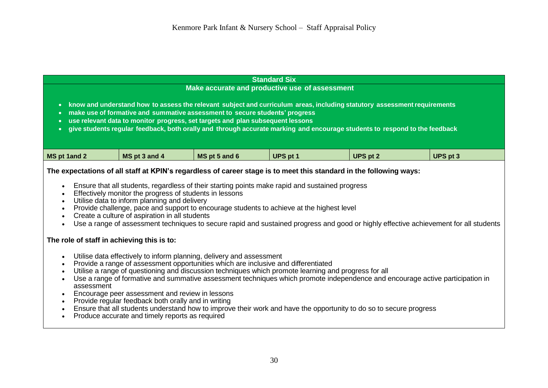| <b>Standard Six</b>                                                                                                                                                                                                                                                                                                                                                                                                                  |                                                                                                                                                                                                                                                                                                                                                                                                                                                                                                                                                                                                                                                                                                                                                                                                                                                                                                                                                                                                                                                                                                                                                                                                                                                                                                               |               |          |                 |                 |  |  |
|--------------------------------------------------------------------------------------------------------------------------------------------------------------------------------------------------------------------------------------------------------------------------------------------------------------------------------------------------------------------------------------------------------------------------------------|---------------------------------------------------------------------------------------------------------------------------------------------------------------------------------------------------------------------------------------------------------------------------------------------------------------------------------------------------------------------------------------------------------------------------------------------------------------------------------------------------------------------------------------------------------------------------------------------------------------------------------------------------------------------------------------------------------------------------------------------------------------------------------------------------------------------------------------------------------------------------------------------------------------------------------------------------------------------------------------------------------------------------------------------------------------------------------------------------------------------------------------------------------------------------------------------------------------------------------------------------------------------------------------------------------------|---------------|----------|-----------------|-----------------|--|--|
| Make accurate and productive use of assessment                                                                                                                                                                                                                                                                                                                                                                                       |                                                                                                                                                                                                                                                                                                                                                                                                                                                                                                                                                                                                                                                                                                                                                                                                                                                                                                                                                                                                                                                                                                                                                                                                                                                                                                               |               |          |                 |                 |  |  |
| know and understand how to assess the relevant subject and curriculum areas, including statutory assessment requirements<br>$\bullet$<br>make use of formative and summative assessment to secure students' progress<br>use relevant data to monitor progress, set targets and plan subsequent lessons<br>give students regular feedback, both orally and through accurate marking and encourage students to respond to the feedback |                                                                                                                                                                                                                                                                                                                                                                                                                                                                                                                                                                                                                                                                                                                                                                                                                                                                                                                                                                                                                                                                                                                                                                                                                                                                                                               |               |          |                 |                 |  |  |
| MS pt 1and 2                                                                                                                                                                                                                                                                                                                                                                                                                         | MS pt 3 and 4                                                                                                                                                                                                                                                                                                                                                                                                                                                                                                                                                                                                                                                                                                                                                                                                                                                                                                                                                                                                                                                                                                                                                                                                                                                                                                 | MS pt 5 and 6 | UPS pt 1 | <b>UPS pt 2</b> | <b>UPS pt 3</b> |  |  |
| $\bullet$<br>$\bullet$<br>$\bullet$<br>$\bullet$<br>$\bullet$<br>assessment<br>$\bullet$<br>$\bullet$<br>Produce accurate and timely reports as required<br>$\bullet$                                                                                                                                                                                                                                                                | The expectations of all staff at KPIN's regardless of career stage is to meet this standard in the following ways:<br>Ensure that all students, regardless of their starting points make rapid and sustained progress<br>Effectively monitor the progress of students in lessons<br>Utilise data to inform planning and delivery<br>Provide challenge, pace and support to encourage students to achieve at the highest level<br>Create a culture of aspiration in all students<br>Use a range of assessment techniques to secure rapid and sustained progress and good or highly effective achievement for all students<br>The role of staff in achieving this is to:<br>Utilise data effectively to inform planning, delivery and assessment<br>Provide a range of assessment opportunities which are inclusive and differentiated<br>Utilise a range of questioning and discussion techniques which promote learning and progress for all<br>Use a range of formative and summative assessment techniques which promote independence and encourage active participation in<br>Encourage peer assessment and review in lessons<br>Provide regular feedback both orally and in writing<br>Ensure that all students understand how to improve their work and have the opportunity to do so to secure progress |               |          |                 |                 |  |  |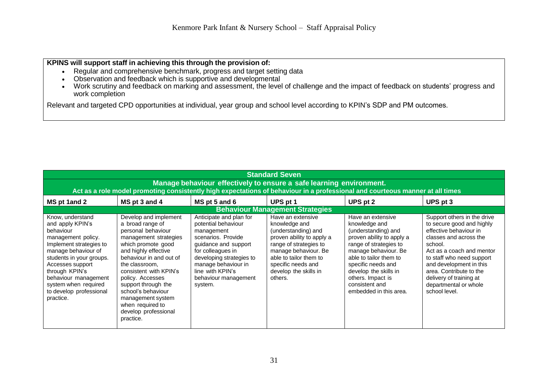# **KPINS will support staff in achieving this through the provision of:**

- Regular and comprehensive benchmark, progress and target setting data
- Observation and feedback which is supportive and developmental
- Work scrutiny and feedback on marking and assessment, the level of challenge and the impact of feedback on students' progress and work completion

Relevant and targeted CPD opportunities at individual, year group and school level according to KPIN's SDP and PM outcomes.

| <b>Standard Seven</b>                                                                                                                                                                                                                                                               |                                                                                                                                                                                                                                                                                                                                                              |                                                                                                                                                                                                                                           |                                                                                                                                                                                                                              |                                                                                                                                                                                                                                                                                    |                                                                                                                                                                                                                                                                                                              |  |  |
|-------------------------------------------------------------------------------------------------------------------------------------------------------------------------------------------------------------------------------------------------------------------------------------|--------------------------------------------------------------------------------------------------------------------------------------------------------------------------------------------------------------------------------------------------------------------------------------------------------------------------------------------------------------|-------------------------------------------------------------------------------------------------------------------------------------------------------------------------------------------------------------------------------------------|------------------------------------------------------------------------------------------------------------------------------------------------------------------------------------------------------------------------------|------------------------------------------------------------------------------------------------------------------------------------------------------------------------------------------------------------------------------------------------------------------------------------|--------------------------------------------------------------------------------------------------------------------------------------------------------------------------------------------------------------------------------------------------------------------------------------------------------------|--|--|
| Manage behaviour effectively to ensure a safe learning environment.                                                                                                                                                                                                                 |                                                                                                                                                                                                                                                                                                                                                              |                                                                                                                                                                                                                                           |                                                                                                                                                                                                                              |                                                                                                                                                                                                                                                                                    |                                                                                                                                                                                                                                                                                                              |  |  |
| MS pt 1and 2                                                                                                                                                                                                                                                                        | Act as a role model promoting consistently high expectations of behaviour in a professional and courteous manner at all times                                                                                                                                                                                                                                |                                                                                                                                                                                                                                           |                                                                                                                                                                                                                              |                                                                                                                                                                                                                                                                                    |                                                                                                                                                                                                                                                                                                              |  |  |
|                                                                                                                                                                                                                                                                                     | MS pt 3 and 4                                                                                                                                                                                                                                                                                                                                                | MS pt 5 and 6                                                                                                                                                                                                                             | UPS pt 1<br><b>Behaviour Management Strategies</b>                                                                                                                                                                           | UPS pt 2                                                                                                                                                                                                                                                                           | UPS pt 3                                                                                                                                                                                                                                                                                                     |  |  |
| Know, understand<br>and apply KPIN's<br>behaviour<br>management policy.<br>Implement strategies to<br>manage behaviour of<br>students in your groups.<br>Accesses support<br>through KPIN's<br>behaviour management<br>system when required<br>to develop professional<br>practice. | Develop and implement<br>a broad range of<br>personal behaviour<br>management strategies<br>which promote good<br>and highly effective<br>behaviour in and out of<br>the classroom,<br>consistent with KPIN's<br>policy. Accesses<br>support through the<br>school's behaviour<br>management system<br>when required to<br>develop professional<br>practice. | Anticipate and plan for<br>potential behaviour<br>management<br>scenarios. Provide<br>guidance and support<br>for colleagues in<br>developing strategies to<br>manage behaviour in<br>line with KPIN's<br>behaviour management<br>system. | Have an extensive<br>knowledge and<br>(understanding) and<br>proven ability to apply a<br>range of strategies to<br>manage behaviour. Be<br>able to tailor them to<br>specific needs and<br>develop the skills in<br>others. | Have an extensive<br>knowledge and<br>(understanding) and<br>proven ability to apply a<br>range of strategies to<br>manage behaviour. Be<br>able to tailor them to<br>specific needs and<br>develop the skills in<br>others. Impact is<br>consistent and<br>embedded in this area. | Support others in the drive<br>to secure good and highly<br>effective behaviour in<br>classes and across the<br>school.<br>Act as a coach and mentor<br>to staff who need support<br>and development in this<br>area. Contribute to the<br>delivery of training at<br>departmental or whole<br>school level. |  |  |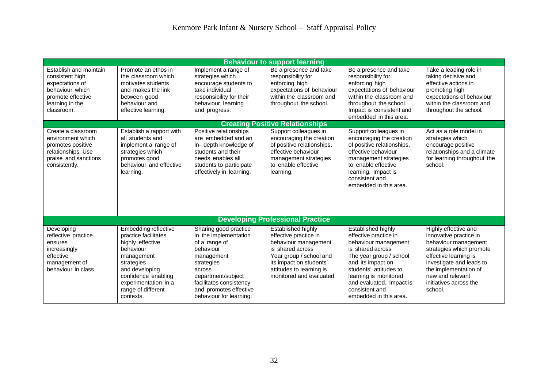| <b>Behaviour to support learning</b>                                                                                                  |                                                                                                                                                                                                               |                                                                                                                                                                                                                          |                                                                                                                                                                                                       |                                                                                                                                                                                                                                                                    |                                                                                                                                                                                                                                           |
|---------------------------------------------------------------------------------------------------------------------------------------|---------------------------------------------------------------------------------------------------------------------------------------------------------------------------------------------------------------|--------------------------------------------------------------------------------------------------------------------------------------------------------------------------------------------------------------------------|-------------------------------------------------------------------------------------------------------------------------------------------------------------------------------------------------------|--------------------------------------------------------------------------------------------------------------------------------------------------------------------------------------------------------------------------------------------------------------------|-------------------------------------------------------------------------------------------------------------------------------------------------------------------------------------------------------------------------------------------|
| Establish and maintain<br>consistent high<br>expectations of<br>behaviour which<br>promote effective<br>learning in the<br>classroom. | Promote an ethos in<br>the classroom which<br>motivates students<br>and makes the link<br>between good<br>behaviour and<br>effective learning.                                                                | Implement a range of<br>strategies which<br>encourage students to<br>take individual<br>responsibility for their<br>behaviour, learning<br>and progress.                                                                 | Be a presence and take<br>responsibility for<br>enforcing high<br>expectations of behaviour<br>within the classroom and<br>throughout the school.                                                     | Be a presence and take<br>responsibility for<br>enforcing high<br>expectations of behaviour<br>within the classroom and<br>throughout the school.<br>Impact is consistent and<br>embedded in this area.                                                            | Take a leading role in<br>taking decisive and<br>effective actions in<br>promoting high<br>expectations of behaviour<br>within the classroom and<br>throughout the school.                                                                |
|                                                                                                                                       |                                                                                                                                                                                                               |                                                                                                                                                                                                                          | <b>Creating Positive Relationships</b>                                                                                                                                                                |                                                                                                                                                                                                                                                                    |                                                                                                                                                                                                                                           |
| Create a classroom<br>environment which<br>promotes positive<br>relationships. Use<br>praise and sanctions<br>consistently.           | Establish a rapport with<br>all students and<br>implement a range of<br>strategies which<br>promotes good<br>behaviour and effective<br>learning.                                                             | Positive relationships<br>are embedded and an<br>in- depth knowledge of<br>students and their<br>needs enables all<br>students to participate<br>effectively in learning.                                                | Support colleagues in<br>encouraging the creation<br>of positive relationships,<br>effective behaviour<br>management strategies<br>to enable effective<br>learning.                                   | Support colleagues in<br>encouraging the creation<br>of positive relationships,<br>effective behaviour<br>management strategies<br>to enable effective<br>learning. Impact is<br>consistent and<br>embedded in this area.                                          | Act as a role model in<br>strategies which<br>encourage positive<br>relationships and a climate<br>for learning throughout the<br>school.                                                                                                 |
|                                                                                                                                       |                                                                                                                                                                                                               |                                                                                                                                                                                                                          | <b>Developing Professional Practice</b>                                                                                                                                                               |                                                                                                                                                                                                                                                                    |                                                                                                                                                                                                                                           |
| Developing<br>reflective practice<br>ensures<br>increasingly<br>effective<br>management of<br>behaviour in class.                     | Embedding reflective<br>practice facilitates<br>highly effective<br>behaviour<br>management<br>strategies<br>and developing<br>confidence enabling<br>experimentation in a<br>range of different<br>contexts. | Sharing good practice<br>in the implementation<br>of a range of<br>behaviour<br>management<br>strategies<br>across<br>department/subject<br>facilitates consistency<br>and promotes effective<br>behaviour for learning. | Established highly<br>effective practice in<br>behaviour management<br>is shared across<br>Year group / school and<br>its impact on students'<br>attitudes to learning is<br>monitored and evaluated. | Established highly<br>effective practice in<br>behaviour management<br>is shared across<br>The year group / school<br>and its impact on<br>students' attitudes to<br>learning is monitored<br>and evaluated. Impact is<br>consistent and<br>embedded in this area. | Highly effective and<br>innovative practice in<br>behaviour management<br>strategies which promote<br>effective learning is<br>investigate and leads to<br>the implementation of<br>new and relevant<br>initiatives across the<br>school. |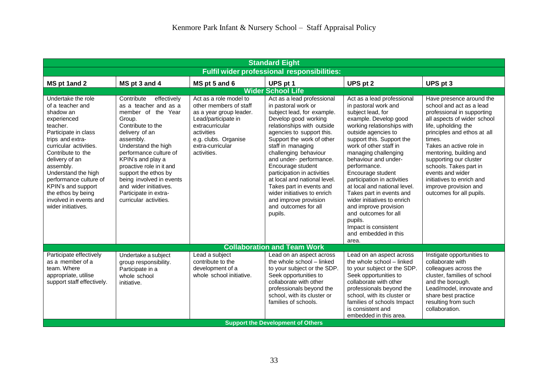| <b>Standard Eight</b>                                                                                                                                                                                                                                                                                                                                 |                                                                                                                                                                                                                                                                                                                                                                           |                                                                                                                                                                                                |                                                                                                                                                                                                                                                                                                                                                                                                                                                                                     |                                                                                                                                                                                                                                                                                                                                                                                                                                                                                                                                                  |                                                                                                                                                                                                                                                                                                                                                                                                   |
|-------------------------------------------------------------------------------------------------------------------------------------------------------------------------------------------------------------------------------------------------------------------------------------------------------------------------------------------------------|---------------------------------------------------------------------------------------------------------------------------------------------------------------------------------------------------------------------------------------------------------------------------------------------------------------------------------------------------------------------------|------------------------------------------------------------------------------------------------------------------------------------------------------------------------------------------------|-------------------------------------------------------------------------------------------------------------------------------------------------------------------------------------------------------------------------------------------------------------------------------------------------------------------------------------------------------------------------------------------------------------------------------------------------------------------------------------|--------------------------------------------------------------------------------------------------------------------------------------------------------------------------------------------------------------------------------------------------------------------------------------------------------------------------------------------------------------------------------------------------------------------------------------------------------------------------------------------------------------------------------------------------|---------------------------------------------------------------------------------------------------------------------------------------------------------------------------------------------------------------------------------------------------------------------------------------------------------------------------------------------------------------------------------------------------|
| <b>Fulfil wider professional responsibilities:</b>                                                                                                                                                                                                                                                                                                    |                                                                                                                                                                                                                                                                                                                                                                           |                                                                                                                                                                                                |                                                                                                                                                                                                                                                                                                                                                                                                                                                                                     |                                                                                                                                                                                                                                                                                                                                                                                                                                                                                                                                                  |                                                                                                                                                                                                                                                                                                                                                                                                   |
| MS pt 1and 2                                                                                                                                                                                                                                                                                                                                          | MS pt 3 and 4                                                                                                                                                                                                                                                                                                                                                             | MS pt 5 and 6                                                                                                                                                                                  | UPS pt 1                                                                                                                                                                                                                                                                                                                                                                                                                                                                            | UPS pt 2                                                                                                                                                                                                                                                                                                                                                                                                                                                                                                                                         | UPS pt 3                                                                                                                                                                                                                                                                                                                                                                                          |
|                                                                                                                                                                                                                                                                                                                                                       |                                                                                                                                                                                                                                                                                                                                                                           |                                                                                                                                                                                                | <b>Wider School Life</b>                                                                                                                                                                                                                                                                                                                                                                                                                                                            |                                                                                                                                                                                                                                                                                                                                                                                                                                                                                                                                                  |                                                                                                                                                                                                                                                                                                                                                                                                   |
| Undertake the role<br>of a teacher and<br>shadow an<br>experienced<br>teacher.<br>Participate in class<br>trips and extra-<br>curricular activities.<br>Contribute to the<br>delivery of an<br>assembly.<br>Understand the high<br>performance culture of<br>KPIN's and support<br>the ethos by being<br>involved in events and<br>wider initiatives. | Contribute<br>effectively<br>as a teacher and as a<br>member of the Year<br>Group.<br>Contribute to the<br>delivery of an<br>assembly.<br>Understand the high<br>performance culture of<br>KPIN's and play a<br>proactive role in it and<br>support the ethos by<br>being involved in events<br>and wider initiatives.<br>Participate in extra-<br>curricular activities. | Act as a role model to<br>other members of staff<br>as a year group leader.<br>Lead/participate in<br>extracurricular<br>activities<br>e.g. clubs. Organise<br>extra-curricular<br>activities. | Act as a lead professional<br>in pastoral work or<br>subject lead, for example.<br>Develop good working<br>relationships with outside<br>agencies to support this.<br>Support the work of other<br>staff in managing<br>challenging behaviour<br>and under- performance.<br>Encourage student<br>participation in activities<br>at local and national level.<br>Takes part in events and<br>wider initiatives to enrich<br>and improve provision<br>and outcomes for all<br>pupils. | Act as a lead professional<br>in pastoral work and<br>subject lead, for<br>example. Develop good<br>working relationships with<br>outside agencies to<br>support this. Support the<br>work of other staff in<br>managing challenging<br>behaviour and under-<br>performance.<br>Encourage student<br>participation in activities<br>at local and national level.<br>Takes part in events and<br>wider initiatives to enrich<br>and improve provision<br>and outcomes for all<br>pupils.<br>Impact is consistent<br>and embedded in this<br>area. | Have presence around the<br>school and act as a lead<br>professional in supporting<br>all aspects of wider school<br>life, upholding the<br>principles and ethos at all<br>times.<br>Takes an active role in<br>mentoring, building and<br>supporting our cluster<br>schools. Takes part in<br>events and wider<br>initiatives to enrich and<br>improve provision and<br>outcomes for all pupils. |
|                                                                                                                                                                                                                                                                                                                                                       |                                                                                                                                                                                                                                                                                                                                                                           |                                                                                                                                                                                                | <b>Collaboration and Team Work</b>                                                                                                                                                                                                                                                                                                                                                                                                                                                  |                                                                                                                                                                                                                                                                                                                                                                                                                                                                                                                                                  |                                                                                                                                                                                                                                                                                                                                                                                                   |
| Participate effectively<br>as a member of a<br>team. Where<br>appropriate, utilise<br>support staff effectively.                                                                                                                                                                                                                                      | Undertake a subject<br>group responsibility.<br>Participate in a<br>whole school<br>initiative.                                                                                                                                                                                                                                                                           | Lead a subject<br>contribute to the<br>development of a<br>whole school initiative.                                                                                                            | Lead on an aspect across<br>the whole school - linked<br>to your subject or the SDP.<br>Seek opportunities to<br>collaborate with other<br>professionals beyond the<br>school, with its cluster or<br>families of schools.                                                                                                                                                                                                                                                          | Lead on an aspect across<br>the whole school - linked<br>to your subject or the SDP.<br>Seek opportunities to<br>collaborate with other<br>professionals beyond the<br>school, with its cluster or<br>families of schools Impact<br>is consistent and<br>embedded in this area.                                                                                                                                                                                                                                                                  | Instigate opportunities to<br>collaborate with<br>colleagues across the<br>cluster, families of school<br>and the borough.<br>Lead/model, innovate and<br>share best practice<br>resulting from such<br>collaboration.                                                                                                                                                                            |
|                                                                                                                                                                                                                                                                                                                                                       |                                                                                                                                                                                                                                                                                                                                                                           |                                                                                                                                                                                                | <b>Support the Development of Others</b>                                                                                                                                                                                                                                                                                                                                                                                                                                            |                                                                                                                                                                                                                                                                                                                                                                                                                                                                                                                                                  |                                                                                                                                                                                                                                                                                                                                                                                                   |